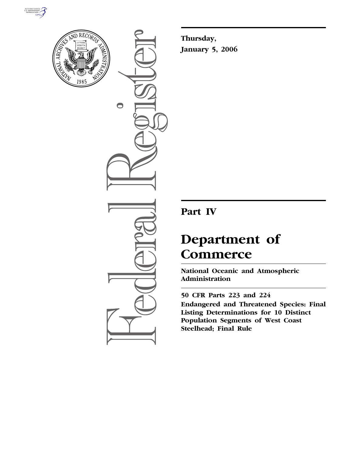



 $\bigcirc$ 

**Thursday, January 5, 2006** 

## **Part IV**

# **Department of Commerce**

**National Oceanic and Atmospheric Administration** 

**50 CFR Parts 223 and 224 Endangered and Threatened Species: Final Listing Determinations for 10 Distinct Population Segments of West Coast Steelhead; Final Rule**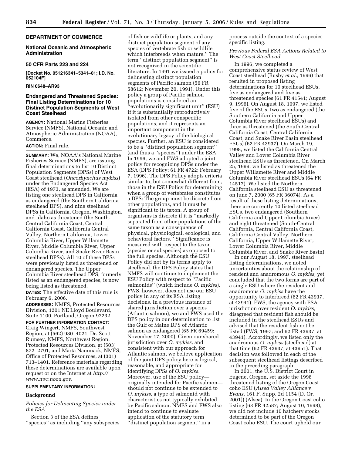## **DEPARTMENT OF COMMERCE**

## **National Oceanic and Atmospheric Administration**

#### **50 CFR Parts 223 and 224**

**[Docket No. 051216341–5341–01; I.D. No. 052104F]** 

#### **RIN 0648–AR93**

## **Endangered and Threatened Species: Final Listing Determinations for 10 Distinct Population Segments of West Coast Steelhead**

**AGENCY:** National Marine Fisheries Service (NMFS), National Oceanic and Atmospheric Administration (NOAA), Commerce.

## **ACTION:** Final rule.

**SUMMARY:** We, NOAA's National Marine Fisheries Service (NMFS), are issuing final determinations to list 10 Distinct Population Segments (DPSs) of West Coast steelhead (*Oncorhynchus mykiss*) under the Endangered Species Act (ESA) of 1973, as amended. We are listing one steelhead DPS in California as endangered (the Southern California steelhead DPS), and nine steelhead DPSs in California, Oregon, Washington, and Idaho as threatened (the South-Central California Coast, Central California Coast, California Central Valley, Northern California, Lower Columbia River, Upper Willamette River, Middle Columbia River, Upper Columbia River, and Snake River Basin steelhead DPSs). All 10 of these DPSs were previously listed as threatened or endangered species. The Upper Columbia River steelhead DPS, formerly listed as an endangered species, is now being listed as threatened.

**DATES:** The effective date of this rule is February 6, 2006.

**ADDRESSES:** NMFS, Protected Resources Division, 1201 NE Lloyd Boulevard, Suite 1100, Portland, Oregon 97232.

**FOR FURTHER INFORMATION CONTACT:**  Craig Wingert, NMFS, Southwest Region, at (562) 980–4021, Dr. Scott Rumsey, NMFS, Northwest Region, Protected Resources Division, at (503) 872–2791, and Marta Nammack, NMFS, Office of Protected Resources, at (301) 713–1401. Reference materials regarding these determinations are available upon request or on the Internet at *http:// www.nwr.noaa.gov.* 

## **SUPPLEMENTARY INFORMATION:**

#### **Background**

## *Policies for Delineating Species under the ESA*

Section 3 of the ESA defines ''species'' as including ''any subspecies

of fish or wildlife or plants, and any distinct population segment of any species of vertebrate fish or wildlife which interbreeds when mature.'' The term ''distinct population segment'' is not recognized in the scientific literature. In 1991 we issued a policy for delineating distinct population segments of Pacific salmon (56 FR 58612; November 20, 1991). Under this policy a group of Pacific salmon populations is considered an ''evolutionarily significant unit'' (ESU) if it is substantially reproductively isolated from other conspecific populations, and it represents an important component in the evolutionary legacy of the biological species. Further, an ESU is considered to be a ''distinct population segment'' (and thus a ''species'') under the ESA. In 1996, we and FWS adopted a joint policy for recognizing DPSs under the ESA (DPS Policy; 61 FR 4722; February 7, 1996). The DPS Policy adopts criteria similar to, but somewhat different from, those in the ESU Policy for determining when a group of vertebrates constitutes a DPS: The group must be discrete from other populations, and it must be significant to its taxon. A group of organisms is discrete if it is ''markedly separated from other populations of the same taxon as a consequence of physical, physiological, ecological, and behavioral factors.'' Significance is measured with respect to the taxon (species or subspecies) as opposed to the full species. Although the ESU Policy did not by its terms apply to steelhead, the DPS Policy states that NMFS will continue to implement the ESU Policy with respect to ''Pacific salmonids'' (which include *O. mykiss*). FWS, however, does not use our ESU policy in any of its ESA listing decisions. In a previous instance of shared jurisdiction over a species (Atlantic salmon), we and FWS used the DPS policy in our determination to list the Gulf of Maine DPS of Atlantic salmon as endangered (65 FR 69459; November 17, 2000). Given our shared jurisdiction over *O. mykiss,* and consistent with our approach for Atlantic salmon, we believe application of the joint DPS policy here is logical, reasonable, and appropriate for identifying DPSs of *O. mykiss.*  Moreover, use of the ESU policy originally intended for Pacific salmon should not continue to be extended to *O. mykiss,* a type of salmonid with characteristics not typically exhibited by Pacific salmon. NMFS and FWS also intend to continue to evaluate application of the statutory term ''distinct population segment'' in a

process outside the context of a speciesspecific listing.

*Previous Federal ESA Actions Related to West Coast Steelhead* 

In 1996, we completed a comprehensive status review of West Coast steelhead (Busby *et al.*, 1996) that resulted in proposed listing determinations for 10 steelhead ESUs, five as endangered and five as threatened species (61 FR 41541; August 9, 1996). On August 18, 1997, we listed five of the ESUs, two as endangered (the Southern California and Upper Columbia River steelhead ESUs) and three as threatened (the South-Central California Coast, Central California Coast, and Snake River Basin steelhead ESUs) (62 FR 43937). On March 19, 1998, we listed the California Central Valley and Lower Columbia River steelhead ESUs as threatened. On March 25, 1999, we listed as threatened the Upper Willamette River and Middle Columbia River steelhead ESUs (64 FR 14517). We listed the Northern California steelhead ESU as threatened on June 7, 2000 (65 FR 36074). As a result of these listing determinations, there are currently 10 listed steelhead ESUs, two endangered (Southern California and Upper Columbia River) and eight threatened (South-Central California, Central California Coast, California Central Valley, Northern California, Upper Willamette River, Lower Columbia River, Middle Columbia River, and Snake River Basin).

In our August 18, 1997, steelhead listing determinations, we noted uncertainties about the relationship of resident and anadromous *O. mykiss,* yet concluded that the two forms are part of a single ESU where the resident and anadromous *O. mykiss* have the opportunity to interbreed (62 FR 43937, at 43941). FWS, the agency with ESA jurisdiction over resident *O. mykiss,*  disagreed that resident fish should be included in the steelhead ESUs and advised that the resident fish not be listed (FWS, 1997; and 62 FR 43937, at 43941). Accordingly, we listed only the anadromous *O. mykiss* (steelhead) at that time (62 FR 43937, at 43951). That decision was followed in each of the subsequent steelhead listings described in the preceding paragraph.

In 2001, the U.S. District Court in Eugene, Oregon, set aside the 1998 threatened listing of the Oregon Coast coho ESU (*Alsea Valley Alliance* v. *Evans,* 161 F. Supp. 2d 1154 (D. Or. 2001)) (Alsea). In the Oregon Coast coho listing (63 FR 42587; August 10, 1998), we did not include 10 hatchery stocks determined to be part of the Oregon Coast coho ESU. The court upheld our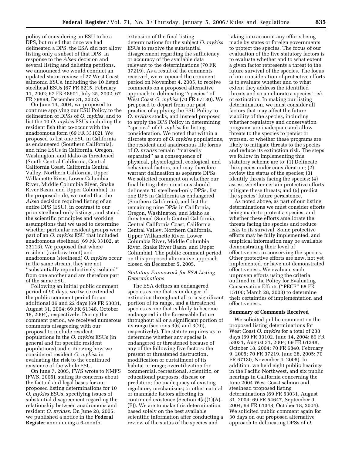policy of considering an ESU to be a DPS, but ruled that once we had delineated a DPS, the ESA did not allow listing only a subset of that DPS. In response to the *Alsea* decision and several listing and delisting petitions, we announced we would conduct an updated status review of 27 West Coast salmonid ESUs, including the 10 listed steelhead ESUs (67 FR 6215, February 11, 2002; 67 FR 48601, July 25, 2002; 67 FR 79898, December 31, 2002).

On June 14, 2004, we proposed to continue applying our ESU Policy to the delineation of DPSs of *O. mykiss*, and to list the 10 *O. mykiss* ESUs including the resident fish that co-occur with the anadromous form (69 FR 33102). We proposed to list one ESU in California as endangered (Southern California), and nine ESUs in California, Oregon, Washington, and Idaho as threatened (South-Central California, Central California Coast, California Central Valley, Northern California, Upper Willamette River, Lower Columbia River, Middle Columbia River, Snake River Basin, and Upper Columbia). In the proposed rule, we noted that the *Alsea* decision required listing of an entire DPS (ESU), in contrast to our prior steelhead-only listings, and stated the scientific principles and working assumptions that we used to determine whether particular resident groups were part of an *O. mykiss* ESU that included anadromous steelhead (69 FR 33102, at 33113). We proposed that where resident (rainbow trout) and anadromous (steelhead) *O. mykiss* occur in the same stream, they are not ''substantially reproductively isolated'' from one another and are therefore part of the same ESU.

Following an initial public comment period of 90 days, we twice extended the public comment period for an additional 36 and 22 days (69 FR 53031, August 31, 2004; 69 FR 61348, October 18, 2004), respectively. During the comment period, we received numerous comments disagreeing with our proposal to include resident populations in the *O. mykiss* ESUs (in general and for specific resident populations) and criticizing how we considered resident *O. mykiss* in evaluating the risk to the continued existence of the whole ESU.

On June 7, 2005, FWS wrote to NMFS (FWS, 2005), stating its concerns about the factual and legal bases for our proposed listing determinations for 10 *O. mykiss* ESUs, specifying issues of substantial disagreement regarding the relationship between anadromous and resident *O. mykiss*. On June 28, 2005, we published a notice in the **Federal Register** announcing a 6-month

extension of the final listing determinations for the subject *O. mykiss*  ESUs to resolve the substantial disagreement regarding the sufficiency or accuracy of the available data relevant to the determinations (70 FR 37219). As a result of the comments received, we re-opened the comment period on November 4, 2005, to receive comments on a proposed alternative approach to delineating ''species'' of West Coast *O. mykiss* (70 FR 67130). We proposed to depart from our past practice of applying the ESU Policy to *O. mykiss* stocks, and instead proposed to apply the DPS Policy in determining ''species'' of *O. mykiss* for listing consideration. We noted that within a discrete group of *O. mykiss* populations, the resident and anadromous life forms of *O. mykiss* remain ''markedly separated'' as a consequence of physical, physiological, ecological, and behavioral factors, and may therefore warrant delineation as separate DPSs. We solicited comment on whether our final listing determinations should delineate 10 steelhead-only DPSs, list one DPS in California as endangered (Southern California), and list the remaining nine DPSs in California, Oregon, Washington, and Idaho as threatened (South-Central California, Central California Coast, California Central Valley, Northern California, Upper Willamette River, Lower Columbia River, Middle Columbia River, Snake River Basin, and Upper Columbia). The public comment period on this proposed alternative approach closed on December 5, 2005.

## *Statutory Framework for ESA Listing Determinations*

The ESA defines an endangered species as one that is in danger of extinction throughout all or a significant portion of its range, and a threatened species as one that is likely to become endangered in the foreseeable future throughout all or a significant portion of its range (sections 3(6) and 3(20), respectively). The statute requires us to determine whether any species is endangered or threatened because of any of the following five factors: the present or threatened destruction, modification or curtailment of its habitat or range; overutilization for commercial, recreational, scientific, or educational purposes; disease or predation; the inadequacy of existing regulatory mechanisms; or other natural or manmade factors affecting its continued existence (Section 4(a)(1)(A)– (E)). We are to make this determination based solely on the best available scientific information after conducting a review of the status of the species and

taking into account any efforts being made by states or foreign governments to protect the species. The focus of our evaluation of the five statutory factors is to evaluate whether and to what extent a given factor represents a threat to the future survival of the species. The focus of our consideration of protective efforts is to evaluate whether and to what extent they address the identified threats and so ameliorate a species' risk of extinction. In making our listing determination, we must consider all factors that may affect the future viability of the species, including whether regulatory and conservation programs are inadequate and allow threats to the species to persist or worsen, or whether these programs are likely to mitigate threats to the species and reduce its extinction risk. The steps we follow in implementing this statutory scheme are to: (1) Delineate the species under consideration; (2) review the status of the species; (3) identify threats facing the species; (4) assess whether certain protective efforts mitigate these threats; and (5) predict the species' future persistence.

As noted above, as part of our listing determinations we must consider efforts being made to protect a species, and whether these efforts ameliorate the threats facing the species and reduce risks to its survival. Some protective efforts may be fully implemented, and empirical information may be available demonstrating their level of effectiveness in conserving the species. Other protective efforts are new, not yet implemented, or have not demonstrated effectiveness. We evaluate such unproven efforts using the criteria outlined in the Policy for Evaluating Conservation Efforts (''PECE'' 68 FR 15100; March 28, 2003) to determine their certainties of implementation and effectiveness.

#### **Summary of Comments Received**

We solicited public comment on the proposed listing determinations for West Coast *O. mykiss* for a total of 238 days (69 FR 33102, June 14, 2004; 69 FR 53031, August 31, 2004; 69 FR 61348, October 18, 2004; 70 FR 6840, February 9, 2005; 70 FR 37219, June 28, 2005; 70 FR 67130, November 4, 2005). In addition, we held eight public hearings in the Pacific Northwest, and six public hearings in California concerning the June 2004 West Coast salmon and steelhead proposed listing determinations (69 FR 53031, August 31, 2004; 69 FR 54647, September 9, 2004; 69 FR 61348, October 18, 2004). We solicited public comment again for 30 days on our proposed alternative approach to delineating DPSs of *O.*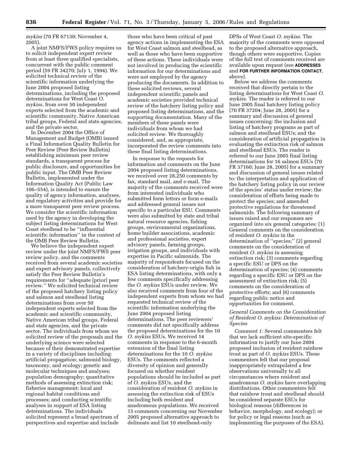*mykiss* (70 FR 67130; November 4, 2005).

A joint NMFS/FWS policy requires us to solicit independent expert review from at least three qualified specialists, concurrent with the public comment period (59 FR 34270; July 1, 1994). We solicited technical review of the scientific information underlying the June 2004 proposed listing determinations, including the proposed determinations for West Coast *O. mykiss*, from over 50 independent experts selected from the academic and scientific community, Native American tribal groups, Federal and state agencies, and the private sector.

In December 2004 the Office of Management and Budget (OMB) issued a Final Information Quality Bulletin for Peer Review (Peer Review Bulletin) establishing minimum peer review standards, a transparent process for public disclosure, and opportunities for public input. The OMB Peer Review Bulletin, implemented under the Information Quality Act (Public Law 106–554), is intended to ensure the quality of agency information, analyses, and regulatory activities and provide for a more transparent peer review process. We consider the scientific information used by the agency in developing the subject listing determinations for West Coast steelhead to be ''influential scientific information'' in the context of the OMB Peer Review Bulletin.

We believe the independent expert review under the joint NMFS/FWS peer review policy, and the comments received from several academic societies and expert advisory panels, collectively satisfy the Peer Review Bulletin's requirements for ''adequate [prior] peer review.'' We solicited technical review of the proposed hatchery listing policy and salmon and steelhead listing determinations from over 50 independent experts selected from the academic and scientific community, Native American tribal groups, Federal and state agencies, and the private sector. The individuals from whom we solicited review of the proposals and the underlying science were selected because of their demonstrated expertise in a variety of disciplines including: artificial propagation; salmonid biology, taxonomy, and ecology; genetic and molecular techniques and analyses; population demography; quantitative methods of assessing extinction risk; fisheries management; local and regional habitat conditions and processes; and conducting scientific analyses in support of ESA listing determinations. The individuals solicited represent a broad spectrum of perspectives and expertise and include

those who have been critical of past agency actions in implementing the ESA for West Coast salmon and steelhead, as well as those who have been supportive of these actions. These individuals were not involved in producing the scientific information for our determinations and were not employed by the agency producing the documents. In addition to these solicited reviews, several independent scientific panels and academic societies provided technical review of the hatchery listing policy and proposed listing determinations, and the supporting documentation. Many of the members of these panels were individuals from whom we had solicited review. We thoroughly considered, and, as appropriate, incorporated the review comments into these final listing determinations.

In response to the requests for information and comments on the June 2004 proposed listing determinations, we received over 28,250 comments by fax, standard mail, and e-mail. The majority of the comments received were from interested individuals who submitted form letters or form e-mails and addressed general issues not specific to a particular ESU. Comments were also submitted by state and tribal natural resource agencies, fishing groups, environmental organizations, home builder associations, academic and professional societies, expert advisory panels, farming groups, irrigation groups, and individuals with expertise in Pacific salmonids. The majority of respondents focused on the consideration of hatchery-origin fish in ESA listing determinations, with only a few comments specifically addressing the *O. mykiss* ESUs under review. We also received comments from four of the independent experts from whom we had requested technical review of the scientific information underlying the June 2004 proposed listing determinations. The peer reviewers' comments did not specifically address the proposed determinations for the 10 *O. mykiss* ESUs. We received 14 comments in response to the 6-month extension of the final listing determinations for the 10 *O. mykiss*  ESUs. The comments reflected a diversity of opinion and generally focused on whether resident populations should be included as part of *O. mykiss* ESUs, and the consideration of resident *O. mykiss* in assessing the extinction risk of ESUs including both resident and anadromous populations. We received 15 comments concerning our November 2005 proposed alternative approach to delineate and list 10 steelhead-only

DPSs of West Coast *O. mykiss*. The majority of the comments were opposed to the proposed alternative approach, though others were supportive. Copies of the full text of comments received are available upon request (see **ADDRESSES** and **FOR FURTHER INFORMATION CONTACT**, above).

Below we address the comments received that directly pertain to the listing determinations for West Coast *O. mykiss*. The reader is referred to our June 2005 final hatchery listing policy (70 FR 37204; June 28, 2005) for a summary and discussion of general issues concerning: the inclusion and listing of hatchery programs as part of salmon and steelhead ESUs; and the consideration of artificial propagation in evaluating the extinction risk of salmon and steelhead ESUs. The reader is referred to our June 2005 final listing determinations for 16 salmon ESUs (70 FR 37160; June 28, 2005) for a summary and discussion of general issues related to: the interpretation and application of the hatchery listing policy in our review of the species' status under review; the consideration of efforts being made to protect the species; and amended protective regulations for threatened salmonids. The following summary of issues raised and our responses are organized into six general categories: (1) General comments on the consideration of resident *O. mykiss* in the determination of ''species;'' (2) general comments on the consideration of resident *O. mykiss* in assessing extinction risk; (3) comments regarding a specific ESU or DPS on the determination of species; (4) comments regarding a specific ESU or DPS on the assessment of extinction risk; (5) comments on the consideration of protective efforts; and (6) comments regarding public notice and opportunities for comment.

## *General Comments on the Consideration of Resident O. mykiss: Determination of Species*

*Comment 1:* Several commenters felt that we lack sufficient site-specific information to justify our June 2004 proposed inclusion of resident rainbow trout as part of *O. mykiss* ESUs. These commenters felt that our proposal inappropriately extrapolated a few observations universally to all circumstances where resident and anadromous *O. mykiss* have overlapping distributions. Other commenters felt that rainbow trout and steelhead should be considered separate ESUs for biological reasons (differences in behavior, morphology, and ecology); or for policy or legal reasons (such as implementing the purposes of the ESA).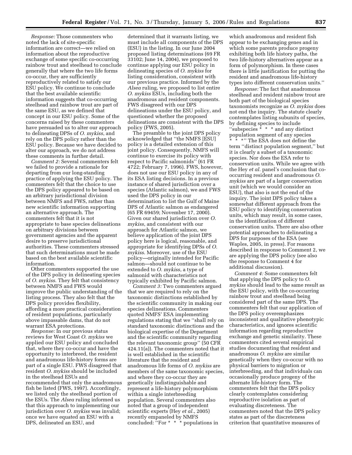*Response:* Those commenters who noted the lack of site-specific information are correct—we relied on information about the reproductive exchange of some specific co-occurring rainbow trout and steelhead to conclude generally that where the two life forms co-occur, they are sufficiently reproductively related to satisfy our ESU policy. We continue to conclude that the best available scientific information suggests that co-occurring steelhead and rainbow trout are part of the same ESU, as we defined that concept in our ESU policy. Some of the concerns raised by these commenters have persuaded us to alter our approach to delineating DPSs of *O. mykiss*, and rely on the DPS policy rather than the ESU policy. Because we have decided to alter our approach, we do not address these comments in further detail.

*Comment 2:* Several commenters felt we failed to provide a rationale for departing from our long-standing practice of applying the ESU policy. The commenters felt that the choice to use the DPS policy appeared to be based on an arbitrary jurisdictional division between NMFS and FWS, rather than new scientific information supporting an alternative approach. The commenters felt that it is not appropriate to base species delineations on arbitrary divisions between government agencies and the apparent desire to preserve jurisdictional authorities. These commenters stressed that such determinations must be made based on the best available scientific information.

Other commenters supported the use of the DPS policy in delineating species of *O. mykiss*. They felt that consistency between NMFS and FWS would improve the public understanding of the listing process. They also felt that the DPS policy provides flexibility, affording a more practical consideration of resident populations, particularly above impassable dams, that do not warrant ESA protections.

*Response:* In our previous status reviews for West Coast *O. mykiss* we applied our ESU policy and concluded that, where they co-occur and have the opportunity to interbreed, the resident and anadromous life-history forms are part of a single ESU. FWS disagreed that resident *O. mykiss* should be included in the steelhead ESUs and recommended that only the anadromous fish be listed (FWS, 1997). Accordingly, we listed only the steelhead portion of the ESUs. The *Alsea* ruling informed us that this approach to implementing our jurisdiction over *O. mykiss* was invalid; once we have equated an ESU with a DPS, delineated an ESU, and

determined that it warrants listing, we must include all components of the DPS (ESU) in the listing. In our June 2004 proposed listing determinations (69 FR 33102; June 14, 2004), we proposed to continue applying our ESU policy in delineating species of *O. mykiss* for listing consideration, consistent with our previous practice. Informed by the *Alsea* ruling, we proposed to list entire *O. mykiss* ESUs, including both the anadromous and resident components. FWS disagreed with our DPS delineations under the ESU policy, and questioned whether the proposed delineations are consistent with the DPS policy (FWS, 2005).

The preamble to the joint DPS policy acknowledged that ''the NMFS [ESU] policy is a detailed extension of this joint policy. Consequently, NMFS will continue to exercise its policy with respect to Pacific salmonids'' (61 FR 4722; February 7, 1996). FWS, however, does not use our ESU policy in any of its ESA listing decisions. In a previous instance of shared jurisdiction over a species (Atlantic salmon), we and FWS used the DPS policy in our determination to list the Gulf of Maine DPS of Atlantic salmon as endangered (65 FR 69459; November 17, 2000). Given our shared jurisdiction over *O. mykiss*, and consistent with our approach for Atlantic salmon, we believe application of the joint DPS policy here is logical, reasonable, and appropriate for identifying DPSs of *O. mykiss*. Moreover, use of the ESU policy—originally intended for Pacific salmon—should not continue to be extended to *O. mykiss*, a type of salmonid with characteristics not typically exhibited by Pacific salmon.

*Comment 3:* Two commenters argued that we are required to rely on the taxonomic distinctions established by the scientific community in making our species delineations. Commenters quoted NMFS' ESA implementing regulations stating that we ''shall rely on standard taxonomic distinctions and the biological expertise of the Department and the scientific community regarding the relevant taxonomic group'' (50 CFR 424.11(a)). The commenters noted that it is well established in the scientific literature that the resident and anadromous life forms of *O. mykiss* are members of the same taxonomic species, and where they co-occur they are genetically indistinguishable and represent a life-history polymorphism within a single interbreeding population. Several commenters also noted that a group of independent scientific experts (Hey *et al.*, 2005) recently empaneled by NMFS concluded: ''For \* \* \* populations in

which anadromous and resident fish appear to be exchanging genes and in which some parents produce progeny exhibiting both life history paths, the two life-history alternatives appear as a form of polymorphism. In these cases there is little justification for putting the resident and anadromous life-history types into different conservation units.''

*Response:* The fact that anadromous steelhead and resident rainbow trout are both part of the biological species taxonomists recognize as *O. mykiss* does not end the inquiry. The statute clearly contemplates listing subunits of species, by defining species to include ''subspecies \* \* \* and any distinct population segment of any species \*\*\*'' The ESA does not define the term ''distinct population segment,'' but it is clearly a subset of a taxonomic species. Nor does the ESA refer to conservation units. While we agree with the Hey *et al.* panel's conclusion that cooccurring resident and anadromous *O. mykiss* are part of a larger conservation unit (which we would consider an ESU), that also is not the end of the inquiry. The joint DPS policy takes a somewhat different approach from the ESU policy to identifying conservation units, which may result, in some cases, in the identification of different conservation units. There are also other potential approaches to delineating a DPS for purposes of the ESA (see Waples, 2005, in press). For reasons described in response to Comment 2, we are applying the DPS policy (see also the response to Comment 4 for additional discussion).

*Comment 4:* Some commenters felt that applying the DPS policy to *O. mykiss* should lead to the same result as the ESU policy, with the co-occurring rainbow trout and steelhead being considered part of the same DPS. The commenters felt that our application of the DPS policy overemphasizes inconsistent and qualitative phenotypic characteristics, and ignores scientific information regarding reproductive exchange and genetic similarity. These commenters cited several empirical studies documenting that resident and anadromous *O. mykiss* are similar genetically when they co-occur with no physical barriers to migration or interbreeding, and that individuals can occasionally produce progeny of the alternate life-history form. The commenters felt that the DPS policy clearly contemplates considering reproductive isolation as part of evaluating discreteness. The commenters noted that the DPS policy states as part of the discreteness criterion that quantitative measures of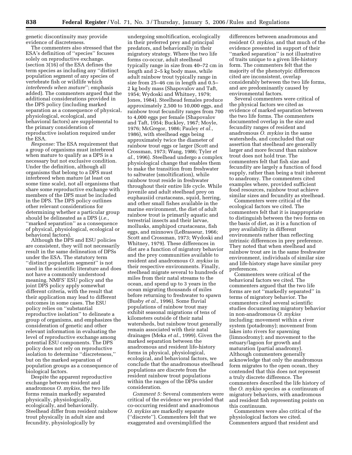genetic discontinuity may provide evidence of discreteness.

The commenters also stressed that the ESA's definition of ''species'' focuses solely on reproductive exchange. (section 3(16) of the ESA defines the term species as including any ''distinct population segment of any species of vertebrate fish or wildlife which *interbreeds when mature*''; emphasis added). The commenters argued that the additional considerations provided in the DPS policy (including marked separation as a consequence of physical, physiological, ecological, and behavioral factors) are supplemental to the primary consideration of reproductive isolation required under the ESA.

*Response:* The ESA requirement that a group of organisms must interbreed when mature to qualify as a DPS is a necessary but not exclusive condition. Under the definition, although all organisms that belong to a DPS must interbreed when mature (at least on some time scale), not all organisms that share some reproductive exchange with members of the DPS must be included in the DPS. The DPS policy outlines other relevant considerations for determining whether a particular group should be delineated as a DPS (*i.e.*, ''marked separation'' as a consequence of physical, physiological, ecological or behavioral factors).

Although the DPS and ESU policies are consistent, they will not necessarily result in the same delineation of DPSs under the ESA. The statutory term ''distinct population segment'' is not used in the scientific literature and does not have a commonly understood meaning. NMFS' ESU policy and the joint DPS policy apply somewhat different criteria, with the result that their application may lead to different outcomes in some cases. The ESU policy relies on ''substantial reproductive isolation'' to delineate a group of organisms, and emphasizes the consideration of genetic and other relevant information in evaluating the level of reproductive exchange among potential ESU components. The DPS policy does not rely on reproductive isolation to determine ''discreteness,'' but on the marked separation of population groups as a consequence of biological factors.

Despite the apparent reproductive exchange between resident and anadromous *O. mykiss*, the two life forms remain markedly separated physically, physiologically, ecologically, and behaviorally. Steelhead differ from resident rainbow trout physically in adult size and fecundity, physiologically by

undergoing smoltification, ecologically in their preferred prey and principal predators, and behaviorally in their migratory strategy. Where the two life forms co-occur, adult steelhead typically range in size from 40–72 cm in length and 2–5 kg body mass, while adult rainbow trout typically range in size from 25–46 cm in length and 0.5– 2 kg body mass (Shapovalov and Taft, 1954; Wydoski and Whitney, 1979; Jones, 1984). Steelhead females produce approximately 2,500 to 10,000 eggs, and rainbow trout fecundity ranges from 700 to 4,000 eggs per female (Shapovalov and Taft, 1954; Buckley, 1967; Moyle, 1976; McGregor, 1986; Pauley *et al.*, 1986), with steelhead eggs being approximately twice the diameter of rainbow trout eggs or larger (Scott and Crossman, 1973; Wang, 1986; Tyler *et al.*, 1996). Steelhead undergo a complex physiological change that enables them to make the transition from freshwater to saltwater (smoltification), while rainbow trout reside in freshwater throughout their entire life cycle. While juvenile and adult steelhead prey on euphausiid crustaceans, squid, herring, and other small fishes available in the marine environment, the diet of adult rainbow trout is primarily aquatic and terrestrial insects and their larvae, mollusks, amphipod crustaceans, fish eggs, and minnows (LeBrasseur, 1966; Scott and Crossman, 1973; Wydoski and Whitney, 1979). These differences in diet are a function of migratory behavior and the prey communities available to resident and anadromous *O. mykiss* in their respective environments. Finally, steelhead migrate several to hundreds of miles from their natal streams to the ocean, and spend up to 3 years in the ocean migrating thousands of miles before returning to freshwater to spawn (Busby *et al.*, 1996). Some fluvial populations of rainbow trout may exhibit seasonal migrations of tens of kilometers outside of their natal watersheds, but rainbow trout generally remain associated with their natal drainages (Meka *et al.*, 1999). Given the marked separation between the anadromous and resident life-history forms in physical, physiological, ecological, and behavioral factors, we conclude that the anadromous steelhead populations are discrete from the resident rainbow trout populations within the ranges of the DPSs under consideration.

*Comment 5:* Several commenters were critical of the evidence we provided that co-occurring resident and anadromous *O. mykiss* are markedly separate (''discrete''). Commenters felt that we exaggerated and oversimplified the

differences between anadromous and resident *O. mykiss,* and that much of the evidence presented in support of their ''marked separation'' is not illustrative of traits unique to a given life-history form. The commenters felt that the majority of the phenotypic differences cited are inconsistent, overlap considerably between the two life forms, and are predominantly caused by environmental factors.

Several commenters were critical of the physical factors we cited as evidence of marked separation between the two life forms. The commenters documented overlap in the size and fecundity ranges of resident and anadromous *O. mykiss* in the same watersheds, and concluded that our assertion that steelhead are generally larger and more fecund than rainbow trout does not hold true. The commenters felt that fish size and fecundity are largely a function of food supply, rather than being a trait inherent to anadromy. The commenters cited examples where, provided sufficient food resources, rainbow trout achieve similar sizes and fecundity as steelhead.

Commenters were critical of the ecological factors we cited. The commenters felt that it is inappropriate to distinguish between the two forms on the basis of diet, as it is a function of prey availability in different environments rather than reflecting intrinsic differences in prey preference. They noted that when steelhead and rainbow trout are in the same freshwater environment, individuals of similar size and life-history stage have similar prey preferences.

Commenters were critical of the behavioral factors we cited. The commenters argued that the two life forms are not ''markedly separated'' in terms of migratory behavior. The commenters cited several scientific studies documenting migratory behavior in non-anadromous *O. mykiss*  including: movement within a river system (potadromy); movement from lakes into rivers for spawning (limnodromy); and movement to the estuary/lagoon for growth and maturation (partial anadromy). Although commenters generally acknowledge that only the anadromous form migrates to the open ocean, they contended that this does not represent a truly discrete difference. The commenters described the life history of the *O. mykiss* species as a continuum of migratory behaviors, with anadromous and resident fish representing points on this continuum.

Commenters were also critical of the physiological factors we cited. Commenters argued that resident and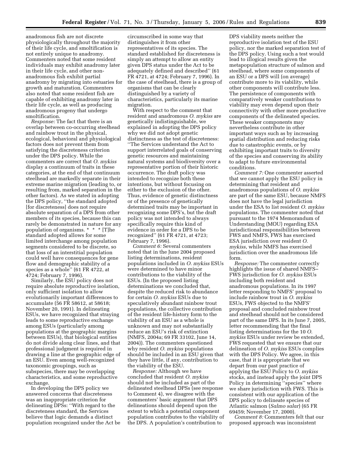anadromous fish are not discrete physiologically throughout the majority of their life cycle, and smoltification is not entirely unique to anadromy. Commenters noted that some resident individuals may exhibit anadromy later in their life cycle, and other nonanadromous fish exhibit partial anadromy by migrating into estuaries for growth and maturation. Commenters also noted that some resident fish are capable of exhibiting anadromy later in their life cycle, as well as producing anadromous progeny that undergo smoltification.

*Response:* The fact that there is an overlap between co-occurring steelhead and rainbow trout in the physical, ecological, behavioral and physiological factors does not prevent them from satisfying the discreteness criterion under the DPS policy. While the commenters are correct that *O. mykiss*  display a continuum of traits in these categories, at the end of that continuum steelhead are markedly separate in their extreme marine migration (leading to, or resulting from, marked separation in the other factors). As we stated in adopting the DPS policy, ''the standard adopted [for discreteness] does not require absolute separation of a DPS from other members of its species, because this can rarely be demonstrated in nature for any population of organisms. \* \* \* [T]he standard adopted allows for some limited interchange among population segments considered to be discrete, so that loss of an interstitial population could well have consequences for gene flow and demographic stability of a species as a whole'' (61 FR 4722, at 4724; February 7, 1996).

Similarly, the ESU policy does not require absolute reproductive isolation, only sufficient isolation to allow evolutionarily important differences to accumulate (56 FR 58612, at 58618; November 20, 1991). In delineating ESUs, we have recognized that straying leads to some reproductive exchange among ESUs (particularly among populations at the geographic margins between ESUs), that biological entities do not divide along clear lines, and that professional judgment is required in drawing a line at the geographic edge of an ESU. Even among well-recognized taxonomic groupings, such as subspecies, there may be overlapping characteristics, and some reproductive exchange.

In developing the DPS policy we answered concerns that discreteness was an inappropriate criterion for delineating DPSs: "With regard to the discreteness standard, the Services believe that logic demands a distinct population recognized under the Act be

circumscribed in some way that distinguishes it from other representatives of its species. The standard established for discreteness is simply an attempt to allow an entity given DPS status under the Act to be adequately defined and described'' (61 FR 4721, at 4724; February 7, 1996). In the case of steelhead, there is a group of organisms that can be clearly distinguished by a variety of characteristics, particularly its marine migration.

With respect to the comment that resident and anadromous *O. mykiss* are genetically indistinguishable, we explained in adopting the DPS policy why we did not adopt genetic distinctness as the test of discreteness: ''The Services understand the Act to support interrelated goals of conserving genetic resources and maintaining natural systems and biodiversity over a representative portion of their historic occurrence. The draft policy was intended to recognize both these intentions, but without focusing on either to the exclusion of the other. Thus, evidence of genetic distinctness or of the presence of genetically determined traits may be important in recognizing some DPS's, but the draft policy was not intended to always specifically require this kind of evidence in order for a DPS to be recognized'' (61 FR 4721, at 4723; February 7, 1996).

*Comment 6:* Several commenters noted that in the June 2004 proposed listing determinations, resident populations included in *O. mykiss* ESUs were determined to have minor contributions to the viability of the ESUs. (In the proposed listing determinations we concluded that, despite the reduced risk to abundance for certain *O. mykiss* ESUs due to speculatively abundant rainbow trout populations, the collective contribution of the resident life-history form to the viability of an ESU as a whole is unknown and may not substantially reduce an ESU's risk of extinction (NMFS, 2004a; 69 FR 33102, June 14, 2004)). The commenters questioned why resident *O. mykiss* populations should be included in an ESU given that they have little, if any, contribution to the viability of the ESU.

*Response:* Although we have concluded that resident *O. mykiss*  should not be included as part of the delineated steelhead DPSs (see response to Comment 4), we disagree with the commenters' basic argument that DPS delineations should depend upon the extent to which a potential component population contributes to the viability of the DPS. A population's contribution to

DPS viability meets neither the reproductive isolation test of the ESU policy, nor the marked separation test of the DPS policy. Using such a test would lead to illogical results given the metapopulation structure of salmon and steelhead, where some components of an ESU or a DPS will (on average) contribute more to its viability, while other components will contribute less. The persistence of components with comparatively weaker contributions to viability may even depend upon their connectivity with other more productive components of the delineated species. These weaker components may nevertheless contribute in other important ways such as by increasing spatial distribution and reducing risks due to catastrophic events, or by exhibiting important traits to diversity of the species and conserving its ability to adapt to future environmental conditions.

*Comment 7:* One commenter asserted that we cannot apply the ESU policy in determining that resident and anadromous populations of *O. mykiss*  are part of the same ESU, because NMFS does not have the legal jurisdiction under the ESA to list resident *O. mykiss*  populations. The commenter noted that pursuant to the 1974 Memorandum of Understanding (MOU) regarding ESA jurisdictional responsibilities between FWS and NMFS, FWS has exercised ESA jurisdiction over resident *O. mykiss*, while NMFS has exercised jurisdiction over the anadromous life form.

*Response:* The commenter correctly highlights the issue of shared NMFS– FWS jurisdiction for *O. mykiss* ESUs including both resident and anadromous populations. In its 1997 letter responding to NMFS' proposal to include rainbow trout in *O. mykiss*  ESUs, FWS objected to the NMFS' proposal and concluded rainbow trout and steelhead should not be considered part of the same DPS. In its June 7, 2005, letter recommending that the final listing determinations for the 10 *O. mykiss* ESUs under review be extended, FWS requested that we ensure that our delineation of *O. mykiss* ESUs complies with the DPS Policy. We agree, in this case, that it is appropriate that we depart from our past practice of applying the ESU Policy to *O. mykiss*  stocks, and instead apply the joint DPS Policy in determining ''species'' where we share jurisdiction with FWS. This is consistent with our application of the DPS policy to delineate species of Atlantic salmon (*Salmo salar*) (65 FR 69459; November 17, 2000).

*Comment 8:* Commenters felt that our proposed approach was inconsistent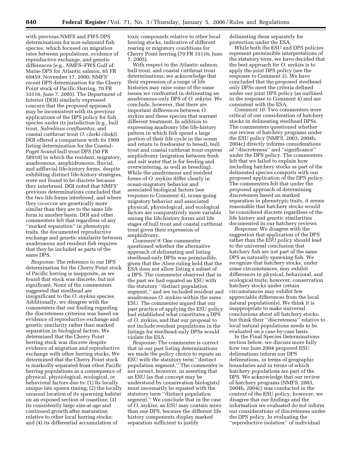with previous NMFS and FWS DPS determinations for non-salmonid fish species, which focused on migration rates between populations, evidence of reproductive exchange, and genetic differences (e.g., NMFS–FWS Gulf of Maine DPS for Atlantic salmon, 65 FR 69459, November 17, 2000; NMFS' recent DPS determination for the Cherry Point stock of Pacific Herring, 70 FR 33116, June 7, 2005). The Department of Interior (DOI) similarly expressed concern that the proposed approach may be inconsistent with its previous applications of the DPS policy for fish species under its jurisdiction (e.g., bull trout, *Salvelinus confluentus,* and coastal cutthroat trout *O. clarki clarki*). DOI offered a comparison with its 1999 listing determination for the Coastal-Puget Sound bull trout DPS (50 FR 58910) in which the resident, migratory, anadromous, amphidromous, fluvial, and adfluvial life-history forms, despite exhibiting distinct life-history strategies, were not found to be discrete because they interbreed. DOI noted that NMFS' previous determinations concluded that the two life forms interbreed, and where they co-occur are genetically more similar than they are to the same life form in another basin. DOI and other commenters felt that regardless of any ''marked separation'' in phenotypic traits, the documented reproductive exchange and genetic similarity between anadromous and resident fish requires that they be included as parts of the same DPS.

*Response:* The reference to our DPS determination for the Cherry Point stock of Pacific herring is inapposite, as we found that stock was discrete, but not significant. None of the commenters suggested that steelhead are insignificant to the *O. mykiss* species. Additionally, we disagree with the commenters that our finding regarding the discreteness criterion was based on evidence of reproductive exchange and genetic similarity rather than marked separation in biological factors. We determined that the Cherry Point herring stock was discrete despite evidence of migration and reproductive exchange with other herring stocks. We determined that the Cherry Point stock is markedly separated from other Pacific herring populations as a consequence of physical, physiological, ecological, or behavioral factors due to: (1) Its locally unique late spawn timing; (2) the locally unusual location of its spawning habitat on an exposed section of coastline; (3) its consistently large size-at-age and continued growth after maturation relative to other local herring stocks; and (4) its differential accumulation of

toxic compounds relative to other local herring stocks, indicative of different rearing or migratory conditions for Cherry Point herring (70 FR 33116; June 7, 2005).

With respect to the Atlantic salmon, bull trout, and coastal cutthroat trout determinations, we acknowledge that their expression of a range of life histories may raise some of the same issues we confronted in delineating an anadromous-only DPS of *O. mkyiss.* We conclude, however, that there are important differences between *O. mykiss* and these species that warrant different treatment. In addition to expressing anadromy (the life-history pattern in which fish spend a large portion of their life cycle in the ocean and return to freshwater to breed), bull trout and coastal cutthroat trout express amphidromy (migration between fresh and salt water that is for feeding and overwintering, as well as breeding). While the anadromous and resident forms of *O. mykiss* differ clearly in ocean-migratory behavior and associated biological factors (see response to Comment 4), ocean-going migratory behavior and associated physical, physiological, and ecological factors are comparatively more variable among the life-history forms and life stages of bull trout and coastal cutthroat trout given their expression of amphidromy.

*Comment 9:* One commenter questioned whether the alternative approach of delineating and listing steelhead-only DPSs was permissible, given that the *Alsea* ruling held that the ESA does not allow listing a subset of a DPS. The commenter observed that in the past we had equated an ESU with the statutory ''distinct population segment,'' and we included resident and anadromous *O. mykiss* within the same ESU. The commenter argued that our past practice of applying the ESU policy had established what constitutes a DPS of *O. mykiss*, and that our proposal to not include resident populations in the listings for steelhead-only DPSs would violate the ESA.

*Response:* The commenter is correct that in our past listing determinations we made the policy choice to equate an ESU with the statutory term ''distinct population segment.'' The commenter is not correct, however, in asserting that an ESU (as that concept may be understood by conservation biologists) must necessarily be equated with the statutory term ''distinct population segment.'' We conclude that in the case of *O. mykiss*, an ESU may contain more than one DPS, because the different life history components display marked separation sufficient to justify

delineating them separately for protection under the ESA.

While both the ESU and DPS policies represent permissible interpretations of the statutory term, we have decided that the best approach for *O. mykiss* is to apply the joint DPS policy (see the response to Comment 2). We have concluded that the proposed steelheadonly DPSs meet the criteria defined under our joint DPS policy (as outlined in the response to Comment 4) and are consistent with the ESA.

*Comment 10:* Two commenters were critical of our consideration of hatchery stocks in delineating steelhead DPSs. The commenters questioned whether our review of hatchery programs under the ESU policy (NMFS, 2003, 2004b, 2004c) directly informs considerations of ''discreteness'' and ''significance'' under the DPS policy. The commenters felt that we failed to explain how including hatchery stocks as part of the delineated species comports with our proposed application of the DPS policy. The commenters felt that under the proposed approach of determining discreteness based on marked separation in phenotypic traits, it seems reasonable that hatchery stocks would be considered discrete regardless of the life history and genetic similarities documented in our hatchery reviews.

*Response:* We disagree with the suggestion that application of the DPS rather than the ESU policy should lead to the universal conclusion that hatchery fish are not part of the same DPS as naturally spawning fish. We recognize that hatchery stocks, under some circumstances, may exhibit differences in physical, behavioral, and ecological traits; however, conservation hatchery stocks under certain circumstances may exhibit few appreciable differences from the local natural population(s). We think it is inappropriate to make universal conclusions about all hatchery stocks, but think their ''discreteness'' relative to local natural populations needs to be evaluated on a case-by-case basis.

In the Final Species Determinations section below, we discuss more fully how our June 2004 proposed ESU delineations inform our DPS delineations, in terms of geographic boundaries and in terms of which hatchery populations are part of the DPS. We acknowledge that our review of hatchery programs (NMFS, 2003, 2004b, 2004c) was conducted in the context of the ESU policy; however, we disagree that our findings and the information we evaluated do not inform our considerations of discreteness under the DPS policy. In evaluating the ''reproductive isolation'' of individual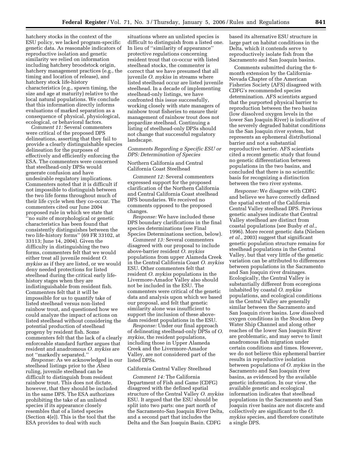hatchery stocks in the context of the ESU policy, we lacked program-specific genetic data. As reasonable indicators of reproductive isolation and genetic similarity we relied on information including hatchery broodstock origin, hatchery management practices (e.g., the timing and location of release), and hatchery stock life-history characteristics (e.g., spawn timing, the size and age at maturity) relative to the local natural populations. We conclude that this information directly informs evaluations of marked separation as a consequence of physical, physiological, ecological, or behavioral factors.

*Comment 11:* Several commenters were critical of the proposed DPS delineations, asserting that they fail to provide a clearly distinguishable species delineation for the purposes of effectively and efficiently enforcing the ESA. The commenters were concerned that steelhead-only DPSs would generate confusion and have undesirable regulatory implications. Commenters noted that it is difficult if not impossible to distinguish between the two life forms throughout much of their life cycle when they co-occur. The commenters cited our June 2004 proposed rule in which we state that ''no suite of morphological or genetic characteristics has been found that consistently distinguishes between the two life-history forms'' (69 FR 33102, at 33113; June 14, 2004). Given the difficulty in distinguishing the two forms, commenters felt that we would either treat all juvenile resident *O. mykiss* as if they are listed, or we would deny needed protections for listed steelhead during the critical early lifehistory stages when they are indistinguishable from resident fish. Commenters felt that it will be impossible for us to quantify take of listed steelhead versus non-listed rainbow trout, and questioned how we could analyze the impact of actions on listed steelhead without considering the potential production of steelhead progeny by resident fish. Some commenters felt that the lack of a clearly enforceable standard further argues that resident and anadromous *O. mykiss* are not ''markedly separated.''

*Response:* As we acknowledged in our steelhead listings prior to the *Alsea*  ruling, juvenile steelhead can be difficult to distinguish from resident rainbow trout. This does not dictate, however, that they should be included in the same DPS. The ESA authorizes prohibiting the take of an unlisted species if its appearance closely resembles that of a listed species (Section 4(e)). This is the tool that the ESA provides to deal with such

situations where an unlisted species is difficult to distinguish from a listed one. In lieu of ''similarity of appearance'' protective regulations concerning resident trout that co-occur with listed steelhead stocks, the commenter is correct that we have presumed that all juvenile *O. mykiss* in streams where listed steelhead occur are listed juvenile steelhead. In a decade of implementing steelhead-only listings, we have confronted this issue successfully, working closely with state managers of rainbow trout fisheries to ensure their management of rainbow trout does not jeopardize steelhead. Continuing a listing of steelhead-only DPSs should not change that successful regulatory landscape.

## *Comments Regarding a Specific ESU or DPS: Determination of Species*

## Northern California and Central California Coast Steelhead

*Comment 12:* Several commenters expressed support for the proposed clarification of the Northern California and Central California Coast steelhead DPS boundaries. We received no comments opposed to the proposed changes.

*Response:* We have included these DPS boundary clarifications in the final species determinations (see Final Species Determinations section, below).

*Comment 13:* Several commenters disagreed with our proposal to include above-barrier resident *O. mykiss*  populations from upper Alameda Creek in the Central California Coast *O. mykiss*  ESU. Other commenters felt that resident *O. mykiss* populations in the Livermore-Amador Valley also should not be included in the ESU. The commenters were critical of the genetic data and analysis upon which we based our proposal, and felt that genetic similarity alone was insufficient to support the inclusion of these abovedam resident populations in the ESU.

*Response:* Under our final approach of delineating steelhead-only DPSs of *O. mykiss*, the resident populations, including those in Upper Alameda Creek and the Livermore-Amador Valley, are not considered part of the listed DPSs.

## California Central Valley Steelhead

*Comment 14:* The California Department of Fish and Game (CDFG) disagreed with the defined spatial structure of the Central Valley *O. mykiss*  ESU. It argued that the ESU should be split into two parts: one part north of the Sacramento-San Joaquin River Delta, and a second part that includes the Delta and the San Joaquin Basin. CDFG

based its alternative ESU structure in large part on habitat conditions in the Delta, which it contends serve to reproductively isolate fish from the Sacramento and San Joaquin basins.

Comments submitted during the 6 month extension by the California-Nevada Chapter of the American Fisheries Society (AFS) disagreed with CDFG's recommended species determination. AFS scientists argued that the purported physical barrier to reproduction between the two basins (low dissolved oxygen levels in the lower San Joaquin River) is indicative of the severely degraded habitat conditions in the San Joaquin river system, but represents an ephemeral distributional barrier and not a substantial reproductive barrier. AFS scientists cited a recent genetic study that found no genetic differentiation between populations in the two basins, and concluded that there is no scientific basis for recognizing a distinction between the two river systems.

*Response:* We disagree with CDFG and believe we have correctly defined the spatial extent of the California Central Valley steelhead DPS. Previous genetic analyses indicate that Central Valley steelhead are distinct from coastal populations (see Busby *et al.*, 1996). More recent genetic data (Nielsen *et al.*, 2003) suggest that significant genetic population structure remains for steelhead populations in the Central Valley, but that very little of the genetic variation can be attributed to differences between populations in the Sacramento and San Joaquin river drainages. Ecologically, the Central Valley is substantially different from ecoregions inhabited by coastal *O. mykiss*  populations, and ecological conditions in the Central Valley are generally similar between the Sacramento and San Joaquin river basins. Low dissolved oxygen conditions in the Stockton Deep Water Ship Channel and along other reaches of the lower San Joaquin River are problematic, and may serve to limit anadromous fish migration under certain conditions and times. However, we do not believe this ephemeral barrier results in reproductive isolation between populations of *O. mykiss* in the Sacramento and San Joaquin river basins, as evidenced by the available genetic information. In our view, the available genetic and ecological information indicates that steelhead populations in the Sacramento and San Joaquin river basins are not discrete and collectively are significant to the *O. mykiss* species, and therefore constitute a single DPS.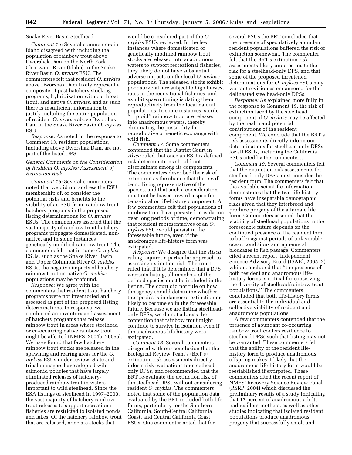#### Snake River Basin Steelhead

*Comment 15:* Several commenters in Idaho disagreed with including the population of rainbow trout above Dworshak Dam on the North Fork Clearwater River (Idaho) in the Snake River Basin *O. mykiss* ESU. The commenters felt that resident *O. mykiss*  above Dworshak Dam likely represent a composite of past hatchery stocking programs, hybridization with cutthroat trout, and native *O. mykiss*, and as such there is insufficient information to justify including the entire population of resident *O. mykiss* above Dworshak Dam in the Snake River Basin *O. mykiss*  ESU.

*Response:* As noted in the response to Comment 13, resident populations, including above Dworshak Dam, are not part of the listed DPS.

## *General Comments on the Consideration of Resident O. mykiss: Assessment of Extinction Risk*

*Comment 16:* Several commenters noted that we did not address the ESU membership of, or consider the potential risks and benefits to the viability of an ESU from, rainbow trout hatchery programs in the proposed listing determinations for *O. mykiss*  ESUs. The commenters asserted that the vast majority of rainbow trout hatchery programs propagate domesticated, nonnative, and in some instances genetically modified rainbow trout. The commenters felt that in some *O. mykiss*  ESUs, such as the Snake River Basin and Upper Columbia River *O. mykiss*  ESUs, the negative impacts of hatchery rainbow trout on native *O. mykiss*  populations may be profound.

*Response:* We agree with the commenters that resident trout hatchery programs were not inventoried and assessed as part of the proposed listing determinations. In response, we conducted an inventory and assessment of hatchery programs that release rainbow trout in areas where steelhead or co-occurring native rainbow trout might be affected (NMFS, 2004b, 2005a). We have found that few hatchery rainbow trout stocks are released in the spawning and rearing areas for the *O. mykiss* ESUs under review. State and tribal managers have adopted wild salmonid policies that have largely eliminated releases of hatcheryproduced rainbow trout in waters important to wild steelhead. Since the ESA listings of steelhead in 1997–2000, the vast majority of hatchery rainbow trout releases to support recreational fisheries are restricted to isolated ponds and lakes. Of the hatchery rainbow trout that are released, none are stocks that

would be considered part of the *O. mykiss* ESUs reviewed. In the few instances where domesticated or genetically modified rainbow trout stocks are released into anadromous waters to support recreational fisheries, they likely do not have substantial adverse impacts on the local *O. mykiss*  populations. The released stocks exhibit poor survival, are subject to high harvest rates in the recreational fisheries, and exhibit spawn timing isolating them reproductively from the local natural populations. In some instances, sterile ''triploid'' rainbow trout are released into anadromous waters, thereby eliminating the possibility for reproductive or genetic exchange with wild fish.

*Comment 17:* Some commenters contended that the District Court in *Alsea* ruled that once an ESU is defined, risk determinations should not discriminate among its components. The commenters described the risk of extinction as the chance that there will be no living representative of the species, and that such a consideration must not be biased toward a specific behavioral or life-history component. A few commenters felt that populations of rainbow trout have persisted in isolation over long periods of time, demonstrating that resident representatives of an *O. mykiss* ESU would persist in the foreseeable future, even if the anadromous life-history form was extirpated.

*Response:* We disagree that the *Alsea*  ruling requires a particular approach to assessing extinction risk. The court ruled that if it is determined that a DPS warrants listing, all members of the defined species must be included in the listing. The court did not rule on how the agency should determine whether the species is in danger of extinction or likely to become so in the foreseeable future. Because we are listing steelheadonly DPSs, we do not address the contention that rainbow trout might continue to survive in isolation even if the anadromous life history were extirpated.

*Comment 18:* Several commenters disagreed with our conclusion that the Biological Review Team's (BRT's) extinction risk assessments directly inform risk evaluations for steelheadonly DPSs, and recommended that the BRT re-evaluate the extinction risk of the steelhead DPSs without considering resident *O. mykiss*. The commenters noted that some of the population data evaluated by the BRT included both life forms, particularly for the Southern California, South-Central California Coast, and Central California Coast ESUs. One commenter noted that for

several ESUs the BRT concluded that the presence of speculatively abundant resident populations buffered the risk of extinction somewhat. The commenter felt that the BRT's extinction risk assessments likely underestimate the risk for a steelhead-only DPS, and that some of the proposed threatened determinations for *O. mykiss* ESUs may warrant revision as endangered for the delineated steelhead-only DPSs.

*Response:* As explained more fully in the response to Comment 19, the risk of extinction faced by the steelhead component of *O. mykiss* may be affected by the health and potential contributions of the resident component. We conclude that the BRT's risk assessments directly inform our determinations for steelhead-only DPSs for all ESUs, including the California ESUs cited by the commenters.

*Comment 19:* Several commenters felt that the extinction risk assessments for steelhead-only DPSs must consider the resident form. The commenters felt that the available scientific information demonstrates that the two life-history forms have inseparable demographic risks given that they interbreed and produce progeny of the alternate life form. Commenters asserted that the viability of steelhead populations in the foreseeable future depends on the continued presence of the resident form to buffer against periods of unfavorable ocean conditions and ephemeral blockages to fish passage. Commenters cited a recent report (Independent Science Advisory Board (ISAB), 2005–2) which concluded that ''the presence of both resident and anadromous lifehistory forms is critical for conserving the diversity of steelhead/rainbow trout populations.'' The commenters concluded that both life-history forms are essential to the individual and collective viability of resident and anadromous populations.

A few commenters contended that the presence of abundant co-occurring rainbow trout confers resilience to steelhead DPSs such that listing may not be warranted. These commenters felt that the ability of the resident lifehistory form to produce anadromous offspring makes it likely that the anadromous life-history form would be reestablished if extirpated. These commenters cited the recent report of NMFS' Recovery Science Review Panel (RSRP, 2004) which discussed the preliminary results of a study indicating that 17 percent of anadromous adults had resident mothers, as well as other studies indicating that isolated resident populations produce anadromous progeny that successfully smolt and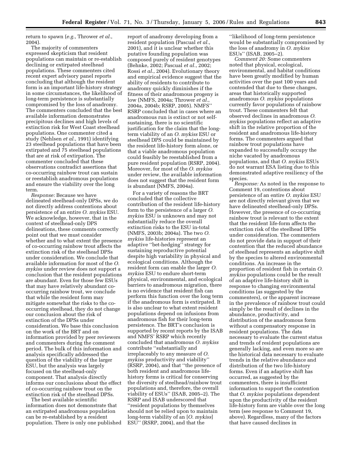return to spawn (*e.g.*, Thrower *et al.*, 2004).

The majority of commenters expressed skepticism that resident populations can maintain or re-establish declining or extirpated steelhead populations. These commenters cited recent expert advisory panel reports concluding that although the resident form is an important life-history strategy in some circumstances, the likelihood of long-term persistence is substantially compromised by the loss of anadromy. The commenters concluded that the best available information demonstrates precipitous declines and high levels of extinction risk for West Coast steelhead populations. One commenter cited a study (Nehlsen *et al.*, 1991) identifying 23 steelhead populations that have been extirpated and 75 steelhead populations that are at risk of extirpation. The commenter concluded that these observations contradict assertions that co-occurring rainbow trout can sustain or reestablish anadromous populations and ensure the viability over the long term.

*Response:* Because we have delineated steelhead-only DPSs, we do not directly address contentions about persistence of an entire *O. mykiss* ESU. We acknowledge, however, that in the context of steelhead-only DPS delineations, these comments correctly point out that we must consider whether and to what extent the presence of co-occurring rainbow trout affects the extinction risk of the steelhead DPSs under consideration. We conclude that available information for most of the *O. mykiss* under review does not support a conclusion that the resident populations are abundant. Even for those few ESUs that may have relatively abundant cooccurring rainbow trout, we conclude that while the resident form may mitigate somewhat the risks to the cooccurring steelhead, they do not change our conclusion about the risk of extinction of the DPSs under consideration. We base this conclusion on the work of the BRT and on information provided by peer reviewers and commenters during the comment period. The bulk of this information and analysis specifically addressed the question of the viability of the larger ESU, but the analysis was largely focused on the steelhead-only component. That analysis directly informs our conclusions about the effect of co-occurring rainbow trout on the extinction risk of the steelhead DPSs.

The best available scientific information does not demonstrate that an extirpated anadromous population can be re-established by a resident population. There is only one published

report of anadromy developing from a resident population (Pascual *et al.*, 2001), and it is unclear whether this putative founding population was composed purely of resident genotypes (Behnke, 2002; Pascual *et al.*, 2002; Rossi *et al.*, 2004). Evolutionary theory and empirical evidence suggest that the ability of residents to contribute to anadromy quickly diminishes if the fitness of their anadromous progeny is low (NMFS, 2004a; Thrower *et al.*, 2004a, 2004b; RSRP, 2005). NMFS'' RSRP concluded that in cases where an anadromous run is extinct or not selfsustaining, there is no scientific justification for the claim that the longterm viability of an *O. mykiss* ESU or steelhead DPS could be maintained by the resident life-history form alone, or that a viable anadromous population could feasibly be reestablished from a pure resident population (RSRP, 2004). Moreover, for most of the *O. mykiss*  under review, the available information does not suggest that the resident form is abundant (NMFS, 2004a).

For a variety of reasons the BRT concluded that the collective contribution of the resident life-history form to the persistence of a larger *O. mykiss* ESU is unknown and may not substantially reduce the overall extinction risks to the ESU in-total (NMFS, 2003b; 2004a). The two *O. mykiss* life-histories represent an adaptive ''bet-hedging'' strategy for sustaining reproductive potential despite high variability in physical and ecological conditions. Although the resident form can enable the larger *O. mykiss* ESU to endure short-term physical, environmental, and ecological barriers to anadromous migration, there is no evidence that resident fish can perform this function over the long term if the anadromous form is extirpated. It is also unclear to what extent resident populations depend on infusions from anadromous fish for their long-term persistence. The BRT's conclusion is supported by recent reports by the ISAB and NMFS' RSRP which recently concluded that anadromous *O. mykiss*  contribute ''substantially and irreplaceably to any measure of *O. mykiss* productivity and viability'' (RSRP, 2004), and that ''the presence of both resident and anadromous lifehistory forms is critical for conserving the diversity of steelhead/rainbow trout populations and, therefore, the overall viability of ESUs'' (ISAB, 2005–2). The RSRP and ISAB underscored that ''resident populations by themselves should not be relied upon to maintain long-term viability of an [*O. mykiss*] ESU'' (RSRP, 2004), and that the

''likelihood of long-term persistence would be substantially compromised by the loss of anadromy in *O. mykiss*  ESUs'' (ISAB, 2005–2).

*Comment 20:* Some commenters noted that physical, ecological, environmental, and habitat conditions have been greatly modified by human activities over the past 100 years and contended that due to these changes, areas that historically supported anadromous *O. mykiss* populations currently favor populations of rainbow trout. These commenters felt that observed declines in anadromous *O. mykiss* populations reflect an adaptive shift in the relative proportion of the resident and anadromous life-history forms. The commenters argued that rainbow trout populations have expanded to successfully occupy the niche vacated by anadromous populations, and that *O. mykiss* ESUs do not warrant ESA listing due to this demonstrated adaptive resiliency of the species.

*Response:* As noted in the response to Comment 19, contentions about persistence of an entire *O. mykiss* ESU are not directly relevant given that we have delineated steelhead-only DPSs. However, the presence of co-occurring rainbow trout is relevant to the extent that the resident life-form affects the extinction risk of the steelhead DPSs under consideration. The commenters do not provide data in support of their contention that the reduced abundance of steelhead represents an adaptive shift by the species to altered environmental conditions. An increase in the proportion of resident fish in certain *O. mykiss* populations could be the result of an adaptive life-history shift in response to changing environmental conditions (as suggested by the commenters), or the apparent increase in the prevalence of rainbow trout could simply be the result of declines in the abundance, productivity, and distribution of the anadromous form without a compensatory response in resident populations. The data necessary to evaluate the current status and trends of resident populations are generally lacking, and even more so are the historical data necessary to evaluate trends in the relative abundance and distribution of the two life-history forms. Even if an adaptive shift has occurred, as suggested by the commenters, there is insufficient information to support the contention that *O. mykiss* populations dependent upon the productivity of the resident life-history form are viable over the long term (see response to Comment 19, above). Regardless, many of the factors that have caused declines in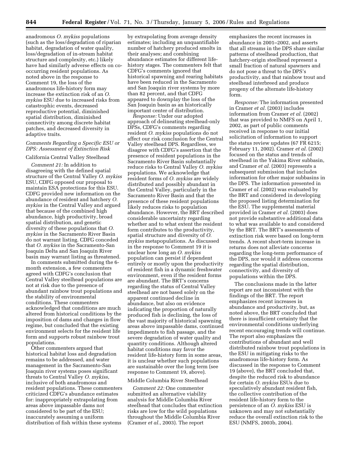anadromous *O. mykiss* populations (such as the loss/degradation of riparian habitat, degradation of water quality, loss/degradation of in-stream habitat structure and complexity, etc.) likely have had similarly adverse effects on cooccurring resident populations. As noted above in the response to Comment 19, the loss of the anadromous life-history form may increase the extinction risk of an *O. mykiss* ESU due to increased risks from catastrophic events, decreased reproductive potential, diminished spatial distribution, diminished connectivity among discrete habitat patches, and decreased diversity in adaptive traits.

## *Comments Regarding a Specific ESU or DPS: Assessment of Extinction Risk*

#### California Central Valley Steelhead

*Comment 21:* In addition to disagreeing with the defined spatial structure of the Central Valley *O. mykiss*  ESU, CDFG opposed our proposal to maintain ESA protections for this ESU. CDFG provided new information on the abundance of resident and hatchery *O. mykiss* in the Central Valley and argued that because of the combined high abundance, high productivity, broad spatial distribution, and genetic diversity of these populations that *O. mykiss* in the Sacramento River Basin do not warrant listing. CDFG conceded that *O. mykiss* in the Sacramento-San Joaquin Delta and San Joaquin River basin may warrant listing as threatened.

In comments submitted during the 6 month extension, a few commenters agreed with CDFG's conclusion that Central Valley steelhead populations are not at risk due to the presence of abundant rainbow trout populations and the stability of environmental conditions. These commenters acknowledged that conditions are much altered from historical conditions by the imposition of dams and changes in flow regime, but concluded that the existing environment selects for the resident life form and supports robust rainbow trout populations.

Other commenters argued that historical habitat loss and degradation remains to be addressed, and water management in the Sacramento-San Joaquin river systems poses significant threats to Central Valley *O. mykiss*, inclusive of both anadromous and resident populations. These commenters criticized CDFG's abundance estimates for: inappropriately extrapolating from areas above impassable dams not considered to be part of the ESU; inaccurately assuming a uniform distribution of fish within these systems

by extrapolating from average density estimates; including an unquantifiable number of hatchery produced smolts in their analyses; and combining abundance estimates for different lifehistory stages. The commenters felt that CDFG's comments ignored that historical spawning and rearing habitats have been reduced in the Sacramento and San Joaquin river systems by more than 82 percent, and that CDFG appeared to downplay the loss of the San Joaquin basin as an historically important center of distribution.

*Response:* Under our adopted approach of delineating steelhead-only DPSs, CDFG's comments regarding resident *O. mykiss* populations do not affect our risk conclusion for the Central Valley steelhead DPS. Regardless, we disagree with CDFG's assertion that the presence of resident populations in the Sacramento River Basin substantially reduce risks to Central Valley *O. mykiss*  populations. We acknowledge that resident forms of *O. mykiss* are widely distributed and possibly abundant in the Central Valley, particularly in the Sacramento River Basin and that the presence of these resident populations likely reduces risks to population abundance. However, the BRT described considerable uncertainty regarding whether and to what extent the resident form contributes to the productivity, spatial structure and diversity of *O. mykiss* metapopulations. As discussed in the response to Comment 19 it is unclear how long an *O. mykiss*  population can persist if dependent entirely or mostly upon the productivity of resident fish in a dynamic freshwater environment, even if the resident forms are abundant. The BRT's concerns regarding the status of Central Valley steelhead are not based solely on the apparent continued decline in abundance, but also on evidence indicating the proportion of naturally produced fish is declining, the loss of the vast majority of historical spawning areas above impassable dams, continued impediments to fish passage, and the severe degradation of water quality and quantity conditions. Although altered habitat conditions may favor the resident life-history form in some areas, it is unclear whether such populations are sustainable over the long term (see response to Comment 19, above).

## Middle Columbia River Steelhead

*Comment 22:* One commenter submitted an alternative viability analysis for Middle Columbia River steelhead that concludes that extinction risks are low for the wild populations throughout the Middle Columbia River (Cramer *et al.*, 2003). The report

emphasizes the recent increases in abundance in 2001–2002, and asserts that all streams in the DPS share similar patterns of steelhead production, that hatchery-origin steelhead represent a small fraction of natural spawners and do not pose a threat to the DPS's productivity, and that rainbow trout and steelhead interbreed and produce progeny of the alternate life-history form.

*Response:* The information presented in Cramer *et al.* (2003) includes information from Cramer *et al.* (2002) that was provided to NMFS on April 1, 2002, as part of public comments received in response to our initial solicitation of information to support the status review updates (67 FR 6215; February 11, 2002). Cramer *et al.* (2002) focused on the status and trends of steelhead in the Yakima River subbasin, and Cramer *et al.* (2003) represents a subsequent submission that includes information for other major subbasins in the DPS. The information presented in Cramer *et al.* (2002) was evaluated by the BRT and considered in developing the proposed listing determination for the ESU. The supplemental material provided in Cramer *et al.* (2003) does not provide substantive additional data to what was available to and considered by the BRT. The BRT's assessments of extinction risk were based on long-term trends. A recent short-term increase in returns does not alleviate concerns regarding the long-term performance of the DPS, nor would it address concerns regarding the spatial distribution, connectivity, and diversity of populations within the DPS.

The conclusions made in the latter report are not inconsistent with the findings of the BRT. The report emphasizes recent increases in abundance and productivity, but, as noted above, the BRT concluded that there is insufficient certainty that the environmental conditions underlying recent encouraging trends will continue. The report also emphasizes the contributions of abundant and well distributed rainbow trout populations in the ESU in mitigating risks to the anadromous life-history form. As discussed in the response to Comment 19 (above), the BRT concluded that, despite the reduced risk to abundance for certain *O. mykiss* ESUs due to speculatively abundant resident fish, the collective contribution of the resident life-history form to the persistence of an *O. mykiss* ESU is unknown and may not substantially reduce the overall extinction risk to the ESU (NMFS, 2003b, 2004).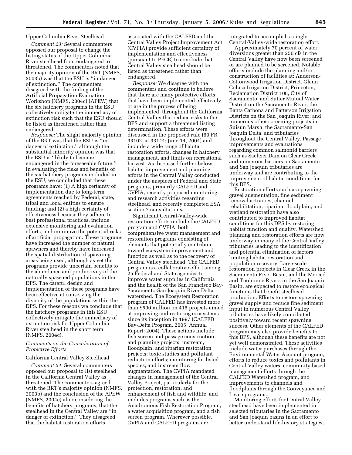## Upper Columbia River Steelhead

*Comment 23:* Several commenters opposed our proposal to change the listing status of the Upper Columbia River steelhead from endangered to threatened. The commenters noted that the majority opinion of the BRT (NMFS, 2003b) was that the ESU is ''in danger of extinction.'' The commenters disagreed with the finding of the Artificial Propagation Evaluation Workshop (NMFS, 2004c) (APEW) that the six hatchery programs in the ESU collectively mitigate the immediacy of extinction risk such that the ESU should be listed as threatened rather than endangered.

*Response:* The slight majority opinion of the BRT was that the ESU is ''in danger of extinction,'' although the substantial minority opinion was that the ESU is ''likely to become endangered in the foreseeable future.'' In evaluating the risks and benefits of the six hatchery programs included in the ESU, we concluded that these programs have: (1) A high certainty of implementation due to long-term agreements reached by Federal, state, tribal and local entities to ensure funding; and (2) a high certainty of effectiveness because they adhere to best professional practices, include extensive monitoring and evaluation efforts, and minimize the potential risks of artificial propagation. These programs have increased the number of natural spawners and thereby have increased the spatial distribution of spawning areas being used, although as yet the programs provide uncertain benefits to the abundance and productivity of the naturally spawned populations in the DPS. The careful design and implementation of these programs have been effective at conserving the diversity of the populations within the DPS. For these reasons we conclude that the hatchery programs in this ESU collectively mitigate the immediacy of extinction risk for Upper Columbia River steelhead in the short term (NMFS, 2004c).

## *Comments on the Consideration of Protective Efforts*

#### California Central Valley Steelhead

*Comment 24:* Several commenters opposed our proposal to list steelhead in the California Central Valley as threatened. The commenters agreed with the BRT's majority opinion (NMFS, 2003b) and the conclusion of the APEW (NMFS, 2004c) after considering the benefits of hatchery programs, that the steelhead in the Central Valley are ''in danger of extinction.'' They disagreed that the habitat restoration efforts

associated with the CALFED and the Central Valley Project Improvement Act (CVPIA) provide sufficient certainty of implementation and effectiveness (pursuant to PECE) to conclude that Central Valley steelhead should be listed as threatened rather than endangered.

*Response:* We disagree with the commenters and continue to believe that there are many protective efforts that have been implemented effectively, or are in the process of being implemented, throughout the California Central Valley that reduce risks to the DPS and support a threatened listing determination. These efforts were discussed in the proposed rule (69 FR 33102, at 33144; June 14, 2004) and include a wide range of habitat restoration efforts, changes in hatchery management, and limits on recreational harvest. As discussed further below, habitat improvement and planning efforts in the Central Valley conducted under the auspices of Federal and State programs, primarily CALFED and CVPIA, recently proposed monitoring and research activities regarding steelhead, and recently completed ESA section 7 consultations.

Significant Central-Valley-wide restoration efforts include the CALFED program and CVPIA, both comprehensive water management and restoration programs consisting of elements that potentially contribute toward ecosystem improvement and function as well as to the recovery of Central Valley steelhead. The CALFED program is a collaborative effort among 25 Federal and State agencies to improve water supplies in California and the health of the San Francisco Bay-Sacramento-San Joaquin River Delta watershed. The Ecosystem Restoration program of CALFED has invested more than \$500 million on 415 projects aimed at improving and restoring ecosystems since its inception in 1997 (CALFED Bay-Delta Program, 2005, Annual Report: 2004). These actions include: fish screen and passage construction and planning projects; instream, floodplain, and riparian restoration projects; toxic studies and pollutant reduction efforts; monitoring for listed species; and instream flow augmentation. The CVPIA mandated changes in management of the Central Valley Project, particularly for the protection, restoration, and enhancement of fish and wildlife, and includes programs such as the Anadromous Fish Restoration Program, a water acquisition program, and a fish screen program. Wherever possible, CVPIA and CALFED programs are

integrated to accomplish a single Central-Valley-wide restoration effort.

Approximately 70 percent of water diversions greater than 250 cfs in the Central Valley have now been screened or are planned to be screened. Notable efforts include the planning and/or construction of facilities at: Anderson-Cottonwood Irrigation District, Glenn Colusa Irrigation District, Princeton, Reclamation District 108, City of Sacramento, and Sutter Mutual Water District on the Sacramento River; the Banta Carbona and Patterson Irrigation Districts on the San Joaquin River; and numerous other screening projects in Suisun Marsh, the Sacramento-San Joaquin Delta, and tributaries throughout the Central Valley. Passage improvements and evaluations regarding common salmonid barriers such as Saeltzer Dam on Clear Creek and numerous barriers on Sacramento and San Joaquin tributaries are underway and are contributing to the improvement of habitat conditions for this DPS.

Restoration efforts such as spawning gravel augmentation, fine sediment removal activities, channel rehabilitation, riparian, floodplain, and wetland restoration have also contributed to improved habitat conditions for this DPS by restoring habitat function and quality. Watershed planning and restoration efforts are now underway in many of the Central Valley tributaries leading to the identification and potential elimination of factors limiting habitat restoration and population recovery. Large-scale restoration projects in Clear Creek in the Sacramento River Basin, and the Merced and Tuolumne Rivers in the San Joaquin Basin, are expected to restore ecological functions that benefit steelhead production. Efforts to restore spawning gravel supply and reduce fine sediment input in numerous Central Valley tributaries have likely contributed positively toward recent spawning success. Other elements of the CALFED program may also provide benefits to this DPS, although these benefits are not yet well demonstrated. These activities include water purchases through the Environmental Water Account program, efforts to reduce toxics and pollutants in Central Valley waters, community-based management efforts through the CALFED Watershed program, and improvements to channels and floodplains through the Conveyance and Levee programs.

Monitoring efforts for Central Valley steelhead have been implemented in selected tributaries in the Sacramento and San Joaquin basins in an effort to better understand life-history strategies,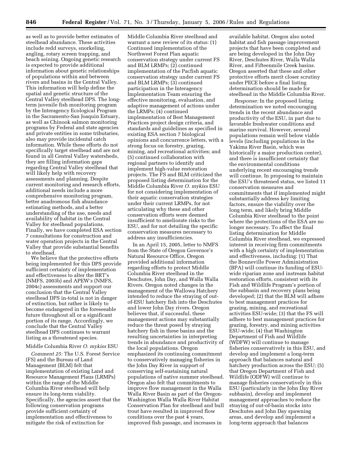as well as to provide better estimates of steelhead abundance. These activities include redd surveys, snorkeling, angling, rotary screen trapping, and beach seining. Ongoing genetic research is expected to provide additional information about genetic relationships of populations within and between rivers and basins in the Central Valley. This information will help define the spatial and genetic structure of the Central Valley steelhead DPS. The longterm juvenile fish monitoring program by the Interagency Ecological Program in the Sacramento-San Joaquin Estuary, as well as Chinook salmon monitoring programs by Federal and state agencies and private entities in some tributaries, also may provide incidental catch information. While these efforts do not specifically target steelhead and are not found in all Central Valley watersheds, they are filling information gaps regarding Central Valley steelhead that will likely help with recovery assessments and planning. Despite current monitoring and research efforts, additional needs include a more comprehensive monitoring program, better anadromous fish abundance estimating methods, and a better understanding of the use, needs and availability of habitat in the Central Valley for steelhead populations. Finally, we have completed ESA section 7 consultations for construction and water operation projects in the Central Valley that provide substantial benefits to steelhead.

We believe that the protective efforts being implemented for this DPS provide sufficient certainty of implementation and effectiveness to alter the BRT's (NMFS, 2003b) and APEW's (NMFS, 2004c) assessments and support our conclusion that the Central Valley steelhead DPS in-total is not in danger of extinction, but rather is likely to become endangered in the foreseeable future throughout all or a significant portion of its range. Accordingly, we conclude that the Central Valley steelhead DPS continues to warrant listing as a threatened species.

#### Middle Columbia River *O. mykiss* ESU

*Comment 25:* The U.S. Forest Service (FS) and the Bureau of Land Management (BLM) felt that implementation of existing Land and Resource Management Plans (LRMPs) within the range of the Middle Columbia River steelhead will help ensure its long-term viability. Specifically, the agencies assert that the following conservation programs provide sufficient certainty of implementation and effectiveness to mitigate the risk of extinction for

Middle Columbia River steelhead and warrant a new review of its status: (1) Continued implementation of the Northwest Forest Plan aquatic conservation strategy under current FS and BLM LRMPs; (2) continued implementation of the Pacfish aquatic conservation strategy under current FS and BLM LRMPs; (3) continued participation in the Interagency Implementation Team ensuring the effective monitoring, evaluation, and adaptive management of actions under the LRMPs; (4) continued implementation of Best Management Practices project design criteria, and standards and guidelines as specified in existing ESA section 7 biological opinions and concurrence letters, with a strong focus on forestry, grazing, mining, and recreational activities; and (5) continued collaboration with regional partners to identify and implement high-value restoration projects. The FS and BLM criticized the proposed listing determination for the Middle Columbia River *O. mykiss* ESU for not considering implementation of their aquatic conservation strategies under their current LRMPs, for not articulating why these and other conservation efforts were deemed insufficient to ameliorate risks to the ESU, and for not detailing the specific conservation measures necessary to address any insufficiencies.

In an April 15, 2005, letter to NMFS from the State of Oregon Governor's Natural Resource Office, Oregon provided additional information regarding efforts to protect Middle Columbia River steelhead in the Deschutes, John Day, and Walla Walla Rivers. Oregon noted changes in the management of the Wallowa Hatchery intended to reduce the straying of outof-ESU hatchery fish into the Deschutes and lower John Day rivers. Oregon believes that, if successful, these management actions may substantially reduce the threat posed by straying hatchery fish in these basins and the resulting uncertainties in interpreting trends in abundance and productivity of the local populations. Oregon emphasized its continuing commitment to conservatively managing fisheries in the John Day River in support of conserving self-sustaining natural populations of native summer steelhead. Oregon also felt that commitments to improve flow management in the Walla Walla River Basin as part of the Oregon-Washington Walla Walla River Habitat Conservation Plan for steelhead and bull trout have resulted in improved flow conditions over the past 4 years, improved fish passage, and increases in

available habitat. Oregon also noted habitat and fish passage improvement projects that have been completed and are being developed in the John Day River, Deschutes River, Walla Walla River, and Fifteenmile Creek basins. Oregon asserted that these and other protective efforts merit closer scrutiny under PECE before a final listing determination should be made for steelhead in the Middle Columbia River.

*Response:* In the proposed listing determination we noted encouraging trends in the recent abundance and productivity of the ESU, in part due to favorable freshwater conditions and marine survival. However, several populations remain well below viable levels (including populations in the Yakima River Basin, which was historically a major production center), and there is insufficient certainty that the environmental conditions underlying recent encouraging trends will continue. In proposing to maintain the ESU's threatened status, we listed 11 conservation measures and commitments that if implemented might substantially address key limiting factors, ensure the viability over the long term, and likely bring Middle Columbia River steelhead to the point where the protections of the ESA are no longer necessary. To affect the final listing determination for Middle Columbia River steelhead, we expressed interest in receiving firm commitments with a high certainty of implementation and effectiveness, including: (1) That the Bonneville Power Administration (BPA) will continue its funding of ESUwide riparian zone and instream habitat restoration efforts, consistent with its Fish and Wildlife Program's portion of the subbasin and recovery plans being developed; (2) that the BLM will adhere to best management practices for grazing, mining, and recreational activities ESU-wide; (3) that the FS will adhere to best management practices for grazing, forestry, and mining activities ESU-wide; (4) that Washington Department of Fish and Wildlife (WDFW) will continue to manage fisheries conservatively in this ESU, and develop and implement a long-term approach that balances natural and hatchery production across the ESU; (5) that Oregon Department of Fish and Wildlife (ODFW) will continue to manage fisheries conservatively in this ESU (particularly in the John Day River subbasin), develop and implement management approaches to reduce the straying of out-of-basin stocks into Deschutes and John Day spawning areas, and develop and implement a long-term approach that balances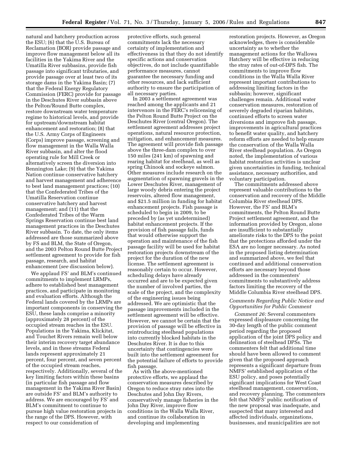natural and hatchery production across the ESU; (6) that the U.S. Bureau of Reclamation (BOR) provide passage and improve flow management below all its facilities in the Yakima River and the Umatilla River subbasins, provide fish passage into significant tributaries, and provide passage over at least two of its storage dams in the Yakima Basin; (7) that the Federal Energy Regulatory Commission (FERC) provide for passage in the Deschutes River subbasin above the Pelton/Round Butte complex, restore downstream water temperature regime to historical levels, and provide for upstream/downstream habitat enhancement and restoration; (8) that the U.S. Army Corps of Engineers (Corps) improve passage, screening and flow management in the Walla Walla River subbasin, and alter the flood operating rule for Mill Creek or alternatively screen the diversion into Bennington Lake; (9) that the Yakima Nation continue conservative hatchery and harvest management and adherence to best land management practices; (10) that the Confederated Tribes of the Umatilla Reservation continue conservative hatchery and harvest management; and (11) that the Confederated Tribes of the Warm Springs Reservation continue best land management practices in the Deschutes River subbasin. To date, the only items addressed are those summarized above by FS and BLM, the State of Oregon, and the 2003 Pelton Round Butte Project settlement agreement to provide for fish passage, research, and habitat enhancement (*see* discussion below).

We applaud FS' and BLM's continued commitments to implement LRMPs, adhere to established best management practices, and participate in monitoring and evaluation efforts. Although the Federal lands covered by the LRMPs are important components in conserving the ESU, these lands comprise a minority (approximately 28 percent) of the occupied stream reaches in the ESU. Populations in the Yakima, Klickitat, and Touchet Rivers remain well below their interim recovery target abundance levels, and in these streams Federal lands represent approximately 21 percent, four percent, and seven percent of the occupied stream reaches, respectively. Additionally, several of the key limiting factors within these basins (in particular fish passage and flow management in the Yakima River Basin) are outside FS' and BLM's authority to address. We are encouraged by FS' and BLM's commitment to continue to pursue high value restoration projects in the range of the DPS. However, with respect to our consideration of

protective efforts, such general commitments lack the necessary certainty of implementation and effectiveness in that they do not identify specific actions and conservation objectives, do not include quantifiable performance measures, cannot guarantee the necessary funding and other resources, and lack sufficient authority to ensure the participation of all necessary parties.

In 2003 a settlement agreement was reached among the applicants and 21 intervenors in the FERC's relicensing of the Pelton Round Butte Project on the Deschutes River (central Oregon). The settlement agreement addresses project operations, natural resource protection, mitigation, and enhancement measures. The agreement will provide fish passage above the three-dam complex to over 150 miles (241 km) of spawning and rearing habitat for steelhead, as well as spring Chinook and sockeye salmon. Other measures include research on the augmentation of spawning gravels in the Lower Deschutes River, management of large woody debris entering the project reservoirs, altered flow management, and \$21.5 million in funding for habitat enhancement projects. Fish passage is scheduled to begin in 2009, to be preceded by (as yet undetermined) habitat enhancement projects. If the provision of fish passage fails, funds that would otherwise support the operation and maintenance of the fish passage facility will be used for habitat restoration projects downstream of the project for the duration of the new license. The settlement agreement is reasonably certain to occur. However, scheduling delays have already occurred and are to be expected given the number of involved parties, the scale of the project, and the complexity of the engineering issues being addressed. We are optimistic that the passage improvements included in the settlement agreement will be effective. However, we cannot be certain that the provision of passage will be effective in reintroducing steelhead populations into currently blocked habitats in the Deschutes River. It is due to this uncertainty that contingencies were built into the settlement agreement for the potential failure of efforts to provide fish passage.

As with the above-mentioned protective efforts, we applaud the conservation measures described by Oregon to reduce stray rates into the Deschutes and John Day Rivers, conservatively manage fisheries in the John Day River, improve flow conditions in the Walla Walla River, and continue its collaboration in developing and implementing

restoration projects. However, as Oregon acknowledges, there is considerable uncertainty as to whether the management actions for the Wallowa Hatchery will be effective in reducing the stray rates of out-of-DPS fish. The commitments to improve flow conditions in the Walla Walla River represent important contributions to addressing limiting factors in the subbasin; however, significant challenges remain. Additional water conservation measures, restoration of severely degraded riparian habitats, continued efforts to screen water diversions and improve fish passage, improvements in agricultural practices to benefit water quality, and hatchery reform efforts are needed to help ensure the conservation of the Walla Walla River steelhead population. As Oregon noted, the implementation of various habitat restoration activities is unclear given uncertainties in funding, technical assistance, necessary authorities, and voluntary participation.

The commitments addressed above represent valuable contributions to the conservation and recovery of the Middle Columbia River steelhead DPS. However, the FS' and BLM's commitments, the Pelton Round Butte Project settlement agreement, and the information provided by Oregon, alone are insufficient to substantially ameliorate risks to the DPS to the point that the protections afforded under the ESA are no longer necessary. As noted in the proposed listing determination and summarized above, we feel that continued and additional conservation efforts are necessary beyond those addressed in the commenters' commitments to substantively address factors limiting the recovery of the Middle Columbia River steelhead DPS.

## *Comments Regarding Public Notice and Opportunities for Public Comment*

*Comment 26:* Several commenters expressed displeasure concerning the 30-day length of the public comment period regarding the proposed application of the joint DPS policy and delineation of steelhead DPSs. The commenters felt that additional time should have been allowed to comment given that the proposed approach represents a significant departure from NMFS' established application of the ESU policy, and poses potentially significant implications for West Coast steelhead management, conservation, and recovery planning. The commenters felt that NMFS' public notification of the new proposal was inadequate, and suspected that many interested and affected individuals, organizations, businesses, and municipalities are not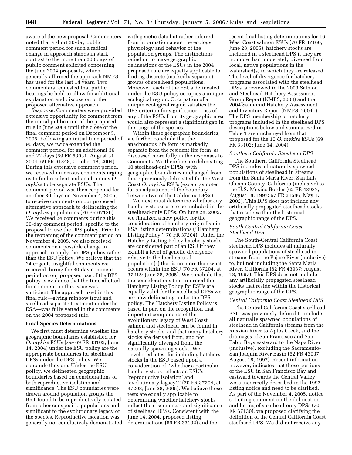aware of the new proposal. Commenters noted that a short 30-day public comment period for such a radical change in approach stands in stark contrast to the more than 200 days of public comment solicited concerning the June 2004 proposals, which generally affirmed the approach NMFS has used for the last 14 years. Two commenters requested that public hearings be held to allow for additional explanation and discussion of the proposed alternative approach.

*Response:* Commenters were provided extensive opportunity for comment from the initial publication of the proposed rule in June 2004 until the close of the final comment period on December 5, 2005. Following an initial time period of 90 days, we twice extended the comment period, for an additional 36 and 22 days (69 FR 53031, August 31, 2004; 69 FR 61348, October 18, 2004). During this extensive comment period, we received numerous comments urging us to find resident and anadromous *O. mykiss* to be separate ESUs. The comment period was then reopened for another 30 days on November 4, 2005, to receive comments on our proposed alternative approach to delineating the *O. mykiss* populations (70 FR 67130). We received 24 comments during this 30-day comment period, specific to the proposal to use the DPS policy. Prior to the reopening of the comment period on November 4, 2005, we also received comments on a possible change in approach to apply the DPS policy rather than the ESU policy. We believe that the 24 cogent, insightful comments we received during the 30-day comment period on our proposed use of the DPS policy is evidence that the time allotted for comment on this issue was sufficient. The approach used in this final rule—giving rainbow trout and steelhead separate treatment under the ESA—was fully vetted in the comments on the 2004 proposed rule.

#### **Final Species Determinations**

We first must determine whether the geographic boundaries established for *O. mykiss* ESUs (*see* 69 FR 33102; June 14, 2004) under the ESU policy are the appropriate boundaries for steelhead DPSs under the DPS policy. We conclude they are. Under the ESU policy, we delineated geographic boundaries based on considerations of both reproductive isolation and significance. The ESU boundaries were drawn around population groups the BRT found to be reproductively isolated from other conspecific populations and significant to the evolutionary legacy of the species. Reproductive isolation was generally not conclusively demonstrated

with genetic data but rather inferred from information about the ecology, physiology and behavior of the population groups. The distinctions relied on to make geographic delineations of the ESUs in the 2004 proposed rule are equally applicable to finding discrete (markedly separate) groups of steelhead populations. Moreover, each of the ESUs delineated under the ESU policy occupies a unique ecological region. Occupation of a unique ecological region satisfies the DPS criterion for significance. Loss of any of the ESUs from its geographic area would also represent a significant gap in the range of the species.

Within these geographic boundaries, we further conclude that the anadromous life form is markedly separate from the resident life form, as discussed more fully in the responses to Comments. We therefore are delineating 10 steelhead-only DPSs, with geographic boundaries unchanged from those previously delineated for the West Coast *O. mykiss* ESUs (except as noted for an adjustment of the boundary between two of the California DPSs).

We next must determine whether any hatchery stocks are to be included in the steelhead-only DPSs. On June 28, 2005, we finalized a new policy for the consideration of hatchery-origin fish in ESA listing determinations (''Hatchery Listing Policy;" 70 FR 37204). Under the Hatchery Listing Policy hatchery stocks are considered part of an ESU if they exhibit a level of genetic divergence relative to the local natural population(s) that is no more than what occurs within the ESU (70 FR 37204, at 37215; June 28, 2005). We conclude that the considerations that informed the Hatchery Listing Policy for ESUs are equally valid for the steelhead DPSs we are now delineating under the DPS policy. The Hatchery Listing Policy is based in part on the recognition that important components of the evolutionary legacy of West Coast salmon and steelhead can be found in hatchery stocks, and that many hatchery stocks are derived from, and not significantly diverged from, the naturally spawning stocks. We developed a test for including hatchery stocks in the ESU based upon a consideration of ''whether a particular hatchery stock reflects an ESU's 'reproductive isolation' and 'evolutionary legacy' '' (70 FR 37204, at 37208; June 28, 2005). We believe those tests are equally applicable to determining whether hatchery stocks reflect the discreteness and significance of steelhead DPSs. Consistent with the June 14, 2004, proposed listing determinations (69 FR 33102) and the

recent final listing determinations for 16 West Coast salmon ESUs (70 FR 37160; June 28, 2005), hatchery stocks are included in a steelhead DPS if they are no more than moderately diverged from local, native populations in the watershed(s) in which they are released. The level of divergence for hatchery programs associated with the steelhead DPSs is reviewed in the 2003 Salmon and Steelhead Hatchery Assessment Group Report (NMFS, 2003) and the 2004 Salmonid Hatchery Assessment and Inventory Report (NMFS, 2004b). The DPS membership of hatchery programs included in the steelhead DPS descriptions below and summarized in Table 1 are unchanged from that proposed for the 10 *O. mykiss* ESUs (69 FR 33102; June 14, 2004).

## *Southern California Steelhead DPS*

The Southern California Steelhead DPS includes all naturally spawned populations of steelhead in streams from the Santa Maria River, San Luis Obispo County, California (inclusive) to the U.S.-Mexico Border (62 FR 43937, August 18, 1997; 67 FR 21586, May 1, 2002). This DPS does not include any artificially propagated steelhead stocks that reside within the historical geographic range of the DPS.

## *South-Central California Coast Steelhead DPS*

The South-Central California Coast steelhead DPS includes all naturally spawned populations of steelhead in streams from the Pajaro River (inclusive) to, but not including the Santa Maria River, California (62 FR 43937; August 18, 1997). This DPS does not include any artificially propagated steelhead stocks that reside within the historical geographic range of the DPS.

#### *Central California Coast Steelhead DPS*

The Central California Coast steelhead ESU was previously defined to include all naturally spawned populations of steelhead in California streams from the Russian River to Aptos Creek, and the drainages of San Francisco and San Pablo Bays eastward to the Napa River (inclusive), excluding the Sacramento-San Joaquin River Basin (62 FR 43937; August 18, 1997). Recent information, however, indicates that those portions of the ESU in San Francisco Bay and eastward towards the Central Valley were incorrectly described in the 1997 listing notice and need to be clarified. As part of the November 4, 2005, notice soliciting comment on the delineation and listing of steelhead-only DPSs (70 FR 67130), we proposed clarifying the definition of the Central California Coast steelhead DPS. We did not receive any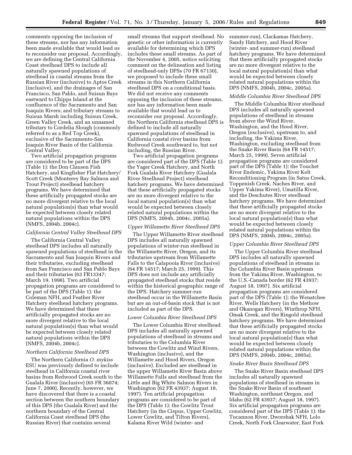comments opposing the inclusion of these streams, nor has any information been made available that would lead us to reconsider our proposal. Accordingly, we are defining the Central California Coast steelhead DPS to include all naturally spawned populations of steelhead in coastal streams from the Russian River (inclusive) to Aptos Creek (inclusive), and the drainages of San Francisco, San Pablo, and Suisun Bays eastward to Chipps Island at the confluence of the Sacramento and San Joaquin Rivers; and tributary streams to Suisun Marsh including Suisun Creek, Green Valley Creek, and an unnamed tributary to Cordelia Slough (commonly referred to as a Red Top Creek), exclusive of the Sacramento-San Joaquin River Basin of the California Central Valley.

Two artificial propagation programs are considered to be part of the DPS (Table 1): the Don Clausen Fish Hatchery, and Kingfisher Flat Hatchery/ Scott Creek (Monterey Bay Salmon and Trout Project) steelhead hatchery programs. We have determined that these artificially propagated stocks are no more divergent relative to the local natural population(s) than what would be expected between closely related natural populations within the DPS (NMFS, 2004b, 2004c).

#### *California Central Valley Steelhead DPS*

The California Central Valley steelhead DPS includes all naturally spawned populations of steelhead in the Sacramento and San Joaquin Rivers and their tributaries, excluding steelhead from San Francisco and San Pablo Bays and their tributaries (63 FR13347; March 19, 1998). Two artificial propagation programs are considered to be part of the DPS (Table 1): the Coleman NFH, and Feather River Hatchery steelhead hatchery programs. We have determined that these artificially propagated stocks are no more divergent relative to the local natural population(s) than what would be expected between closely related natural populations within the DPS (NMFS, 2004b, 2004c).

## *Northern California Steelhead DPS*

The Northern California *O. mykiss*  ESU was previously defined to include steelhead in California coastal river basins from Redwood Creek south to the Gualala River (inclusive) (65 FR 36074; June 7, 2000). Recently, however, we have discovered that there is a coastal section between the southern boundary of this DPS (the Gualala River) and the northern boundary of the Central California Coast steelhead DPS (the Russian River) that contains several

small streams that support steelhead. No genetic or other information is currently available for determining which DPS includes these small streams. As part of the November 4, 2005, notice soliciting comment on the delineation and listing of steelhead-only DPSs (70 FR 67130), we proposed to include these small streams in this Northern California steelhead DPS on a conditional basis. We did not receive any comments opposing the inclusion of these streams, nor has any information been made available that would lead us to reconsider our proposal. Accordingly, the Northern California steelhead DPS is defined to include all naturally spawned populations of steelhead in California coastal river basins from Redwood Creek southward to, but not including, the Russian River.

Two artificial propagation programs are considered part of the DPS (Table 1): the Yager Creek Hatchery, and North Fork Gualala River Hatchery (Gualala River Steelhead Project) steelhead hatchery programs. We have determined that these artificially propagated stocks are no more divergent relative to the local natural population(s) than what would be expected between closely related natural populations within the DPS (NMFS, 2004b, 2004c, 2005a).

## *Upper Willamette River Steelhead DPS*

The Upper Willamette River steelhead DPS includes all naturally spawned populations of winter-run steelhead in the Willamette River, Oregon, and its tributaries upstream from Willamette Falls to the Calapooia River (inclusive) (64 FR 14517; March 25, 1999). This DPS does not include any artificially propagated steelhead stocks that reside within the historical geographic range of the DPS. Hatchery summer-run steelhead occur in the Willamette Basin but are an out-of-basin stock that is not included as part of the DPS.

## *Lower Columbia River Steelhead DPS*

The Lower Columbia River steelhead DPS includes all naturally spawned populations of steelhead in streams and tributaries to the Columbia River between the Cowlitz and Wind Rivers, Washington (inclusive), and the Willamette and Hood Rivers, Oregon (inclusive). Excluded are steelhead in the upper Willamette River Basin above Willamette Falls and steelhead from the Little and Big White Salmon Rivers in Washington (62 FR 43937; August 18, 1997). Ten artificial propagation programs are considered to be part of the DPS (Table 1): the Cowlitz Trout Hatchery (in the Cispus, Upper Cowlitz, Lower Cowlitz, and Tilton Rivers), Kalama River Wild (winter- and

summer-run), Clackamas Hatchery, Sandy Hatchery, and Hood River (winter- and summer-run) steelhead hatchery programs. We have determined that these artificially propagated stocks are no more divergent relative to the local natural population(s) than what would be expected between closely related natural populations within the DPS (NMFS, 2004b, 2004c, 2005a).

#### *Middle Columbia River Steelhead DPS*

The Middle Columbia River steelhead DPS includes all naturally spawned populations of steelhead in streams from above the Wind River, Washington, and the Hood River, Oregon (exclusive), upstream to, and including, the Yakima River, Washington, excluding steelhead from the Snake River Basin (64 FR 14517; March 25, 1999). Seven artificial propagation programs are considered part of the DPS (Table 1): the Touchet River Endemic, Yakima River Kelt Reconditioning Program (in Satus Creek, Toppenish Creek, Naches River, and Upper Yakima River), Umatilla River, and the Deschutes River steelhead hatchery programs. We have determined that these artificially propagated stocks are no more divergent relative to the local natural population(s) than what would be expected between closely related natural populations within the DPS (NMFS, 2004b, 2004c, 2005a).

#### *Upper Columbia River Steelhead DPS*

The Upper Columbia River steelhead DPS includes all naturally spawned populations of steelhead in streams in the Columbia River Basin upstream from the Yakima River, Washington, to the U.S.-Canada border (62 FR 43937; August 18, 1997). Six artificial propagation programs are considered part of the DPS (Table 1): the Wenatchee River, Wells Hatchery (in the Methow and Okanogan Rivers), Winthrop NFH, Omak Creek, and the Ringold steelhead hatchery programs. We have determined that these artificially propagated stocks are no more divergent relative to the local natural population(s) than what would be expected between closely related natural populations within the DPS (NMFS, 2004b, 2004c, 2005a).

#### *Snake River Basin Steelhead DPS*

The Snake River Basin steelhead DPS includes all naturally spawned populations of steelhead in streams in the Snake River Basin of southeast Washington, northeast Oregon, and Idaho (62 FR 43937; August 18, 1997). Six artificial propagation programs are considered part of the DPS (Table 1): the Tucannon River, Dworshak NFH, Lolo Creek, North Fork Clearwater, East Fork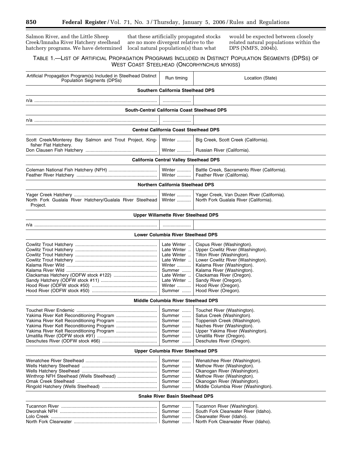Salmon River, and the Little Sheep Creek/Imnaha River Hatchery steelhead hatchery programs. We have determined

that these artificially propagated stocks are no more divergent relative to the local natural population(s) than what

would be expected between closely related natural populations within the DPS (NMFS, 2004b).

## TABLE 1.—LIST OF ARTIFICIAL PROPAGATION PROGRAMS INCLUDED IN DISTINCT POPULATION SEGMENTS (DPSS) OF WEST COAST STEELHEAD (ONCORHYNCHUS MYKISS)

| Artificial Propagation Program(s) Included in Steelhead Distinct<br><b>Population Segments (DPSs)</b> | Run timing                                                                                                                     | Location (State)                                                                                                                                                                                                                                                                                     |  |  |  |  |
|-------------------------------------------------------------------------------------------------------|--------------------------------------------------------------------------------------------------------------------------------|------------------------------------------------------------------------------------------------------------------------------------------------------------------------------------------------------------------------------------------------------------------------------------------------------|--|--|--|--|
| <b>Southern California Steelhead DPS</b>                                                              |                                                                                                                                |                                                                                                                                                                                                                                                                                                      |  |  |  |  |
|                                                                                                       |                                                                                                                                |                                                                                                                                                                                                                                                                                                      |  |  |  |  |
| South-Central California Coast Steelhead DPS                                                          |                                                                                                                                |                                                                                                                                                                                                                                                                                                      |  |  |  |  |
| n/a ………………………………………………………………………………………                                                                 |                                                                                                                                |                                                                                                                                                                                                                                                                                                      |  |  |  |  |
|                                                                                                       | <b>Central California Coast Steelhead DPS</b>                                                                                  |                                                                                                                                                                                                                                                                                                      |  |  |  |  |
| Scott Creek/Monterey Bay Salmon and Trout Project, King-                                              | Winter                                                                                                                         | Big Creek, Scott Creek (California).                                                                                                                                                                                                                                                                 |  |  |  |  |
| fisher Flat Hatchery.                                                                                 |                                                                                                                                | Winter    Russian River (California).                                                                                                                                                                                                                                                                |  |  |  |  |
|                                                                                                       | <b>California Central Valley Steelhead DPS</b>                                                                                 |                                                                                                                                                                                                                                                                                                      |  |  |  |  |
|                                                                                                       |                                                                                                                                |                                                                                                                                                                                                                                                                                                      |  |  |  |  |
|                                                                                                       | Winter<br>Winter                                                                                                               | Battle Creek, Sacramento River (California).<br>Feather River (California).                                                                                                                                                                                                                          |  |  |  |  |
|                                                                                                       | <b>Northern California Steelhead DPS</b>                                                                                       |                                                                                                                                                                                                                                                                                                      |  |  |  |  |
| North Fork Gualala River Hatchery/Gualala River Steelhead<br>Project.                                 | <b>Winter </b><br>Winter                                                                                                       | Yager Creek, Van Duzen River (California).<br>North Fork Gualala River (California).                                                                                                                                                                                                                 |  |  |  |  |
|                                                                                                       | <b>Upper Willamette River Steelhead DPS</b>                                                                                    |                                                                                                                                                                                                                                                                                                      |  |  |  |  |
|                                                                                                       |                                                                                                                                |                                                                                                                                                                                                                                                                                                      |  |  |  |  |
|                                                                                                       | <b>Lower Columbia River Steelhead DPS</b>                                                                                      |                                                                                                                                                                                                                                                                                                      |  |  |  |  |
|                                                                                                       | Late Winter<br>Late Winter<br>Late Winter<br>Late Winter<br>Winter<br>Summer<br>Late Winter<br>Late Winter<br>Winter<br>Summer | Cispus River (Washington).<br>Upper Cowlitz River (Washington).<br>Tilton River (Washington).<br>Lower Cowlitz River (Washington).<br>Kalama River (Washington).<br>Kalama River (Washington).<br>Clackamas River (Oregon).<br>Sandy River (Oregon).<br>Hood River (Oregon).<br>Hood River (Oregon). |  |  |  |  |
|                                                                                                       | <b>Middle Columbia River Steelhead DPS</b>                                                                                     |                                                                                                                                                                                                                                                                                                      |  |  |  |  |
| Yakima River Kelt Reconditioning Program                                                              | Summer<br>Summer<br>Summer<br>Summer<br>Summer<br>Summer<br>Summer                                                             | Touchet River (Washington).<br>Satus Creek (Washington).<br>Toppenish Creek (Washington).<br>Naches River (Washington).<br>Upper Yakima River (Washington).<br>Umatilla River (Oregon).<br>Deschutes River (Oregon).                                                                                 |  |  |  |  |
| <b>Upper Columbia River Steelhead DPS</b>                                                             |                                                                                                                                |                                                                                                                                                                                                                                                                                                      |  |  |  |  |
| Winthrop NFH Steelhead (Wells Steelhead)                                                              | Summer<br>Summer<br>Summer<br>Summer<br>Summer<br>Summer<br><b>Snake River Basin Steelhead DPS</b>                             | Wenatchee River (Washington).<br>Methow River (Washington).<br>Okanogan River (Washington).<br>Methow River (Washington).<br>Okanogan River (Washington).<br>Middle Columbia River (Washington).                                                                                                     |  |  |  |  |
|                                                                                                       | Summer<br>Summer<br>Summer                                                                                                     | Tucannon River (Washington).<br>South Fork Clearwater River (Idaho).<br>Clearwater River (Idaho).                                                                                                                                                                                                    |  |  |  |  |

North Fork Clearwater ................................................................. Summer ....... North Fork Clearwater River (Idaho).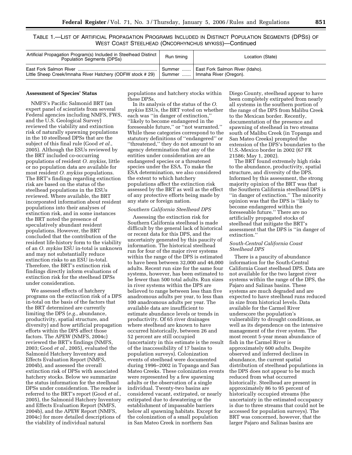TABLE 1.—LIST OF ARTIFICIAL PROPAGATION PROGRAMS INCLUDED IN DISTINCT POPULATION SEGMENTS (DPSS) OF WEST COAST STEELHEAD (ONCORHYNCHUS MYKISS)—Continued

| Artificial Propagation Program(s) Included in Steelhead Distinct Population Segments (DPSs) | Run timing  | Location (State)                |
|---------------------------------------------------------------------------------------------|-------------|---------------------------------|
|                                                                                             | □ Summer  ' | East Fork Salmon River (Idaho). |
| Little Sheep Creek/Imnaha River Hatchery (ODFW stock #29)                                   | Summer      | Imnaha River (Oregon).          |

#### **Assessment of Species' Status**

NMFS's Pacific Salmonid BRT (an expert panel of scientists from several Federal agencies including NMFS, FWS, and the U.S. Geological Survey) reviewed the viability and extinction risk of naturally spawning populations in the 10 steelhead DPSs that are the subject of this final rule (Good *et al.*, 2005). Although the ESUs reviewed by the BRT included co-occurring populations of resident *O. mykiss*, little or no population data are available for most resident *O. mykiss* populations. The BRT's findings regarding extinction risk are based on the status of the steelhead populations in the ESUs reviewed. Where available, the BRT incorporated information about resident populations into their analyses of extinction risk, and in some instances the BRT noted the presence of speculatively abundant resident populations. However, the BRT concluded that the contribution of the resident life-history form to the viability of an *O. mykiss* ESU in-total is unknown and may not substantially reduce extinction risks to an ESU in-total. Therefore, the BRT's extinction risk findings directly inform evaluations of extinction risk for the steelhead DPSs under consideration.

We assessed effects of hatchery programs on the extinction risk of a DPS in-total on the basis of the factors that the BRT determined are currently limiting the DPS (*e.g.*, abundance, productivity, spatial structure, and diversity) and how artificial propagation efforts within the DPS affect those factors. The APEW (NMFS, 2004c) reviewed the BRT's findings (NMFS, 2003; Good *et al.*, 2005), evaluated the Salmonid Hatchery Inventory and Effects Evaluation Report (NMFS, 2004b), and assessed the overall extinction risk of DPSs with associated hatchery stocks. Below we summarize the status information for the steelhead DPSs under consideration. The reader is referred to the BRT's report (Good *et al.*, 2005), the Salmonid Hatchery Inventory and Effects Evaluation Report (NMFS, 2004b), and the APEW Report (NMFS, 2004c) for more detailed descriptions of the viability of individual natural

populations and hatchery stocks within these DPSs.

In its analysis of the status of the *O. mykiss* ESUs, the BRT voted on whether each was ''in danger of extinction,'' ''likely to become endangered in the foreseeable future,'' or ''not warranted.'' While these categories correspond to the statutory definitions of ''endangered'' or ''threatened,'' they do not amount to an agency determination that any of the entities under consideration are an endangered species or a threatened species under the ESA. To make the ESA determination, we also considered the extent to which hatchery populations affect the extinction risk assessed by the BRT as well as the effect of any protective efforts being made by any state or foreign nation.

#### *Southern California Steelhead DPS*

Assessing the extinction risk for Southern California steelhead is made difficult by the general lack of historical or recent data for this DPS, and the uncertainty generated by this paucity of information. The historical steelhead run for four of the major river systems within the range of the DPS is estimated to have been between 32,000 and 46,000 adults. Recent run size for the same four systems, however, has been estimated to be fewer than 500 total adults. Run sizes in river systems within the DPS are believed to range between less than five anadromous adults per year, to less than 100 anadromous adults per year. The available data are insufficient to estimate abundance levels or trends in productivity. Of 65 river drainages where steelhead are known to have occurred historically, between 26 and 52 percent are still occupied (uncertainty in this estimate is the result of the inaccessibility of 17 basins to population surveys). Colonization events of steelhead were documented during 1996–2002 in Topanga and San Mateo Creeks. These colonization events were represented by a few spawning adults or the observation of a single individual. Twenty-two basins are considered vacant, extirpated, or nearly extirpated due to dewatering or the establishment of impassable barriers below all spawning habitats. Except for the colonization of a small population in San Mateo Creek in northern San

Diego County, steelhead appear to have been completely extirpated from nearly all systems in the southern portion of the range of the DPS from Malibu Creek to the Mexican border. Recently, documentation of the presence and spawning of steelhead in two streams south of Malibu Creek (in Topanga and San Mateo Creeks) prompted the extension of the DPS's boundaries to the U.S.-Mexico border in 2002 (67 FR 21586; May 1, 2002).

The BRT found extremely high risks to the abundance, productivity, spatial structure, and diversity of the DPS. Informed by this assessment, the strong majority opinion of the BRT was that the Southern California steelhead DPS is ''in danger of extinction.'' The minority opinion was that the DPS is ''likely to become endangered within the foreseeable future.'' There are no artificially propagated stocks of steelhead that mitigate the BRT's assessment that the DPS is ''in danger of extinction.''

### *South-Central California Coast Steelhead DPS*

There is a paucity of abundance information for the South-Central California Coast steelhead DPS. Data are not available for the two largest river systems within the range of the DPS, the Pajaro and Salinas basins. These systems are much degraded and are expected to have steelhead runs reduced in size from historical levels. Data available for the Carmel River underscore the population's vulnerability to drought conditions, as well as its dependence on the intensive management of the river system. The most recent 5-year mean abundance of fish in the Carmel River is approximately 600 adults. Despite observed and inferred declines in abundance, the current spatial distribution of steelhead populations in the DPS does not appear to be much reduced from what occurred historically. Steelhead are present in approximately 86 to 95 percent of historically occupied streams (the uncertainty in the estimated occupancy is due to three streams that could not be accessed for population surveys). The BRT was concerned, however, that the larger Pajaro and Salinas basins are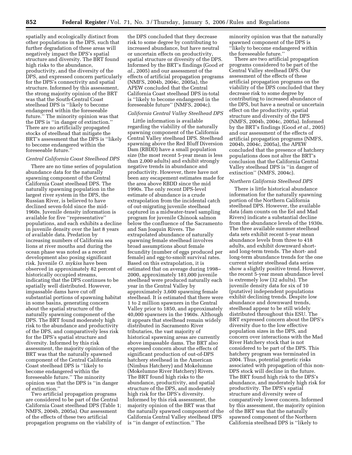spatially and ecologically distinct from other populations in the DPS, such that further degradation of these areas will negatively impact the DPS's spatial structure and diversity. The BRT found high risks to the abundance, productivity, and the diversity of the DPS, and expressed concern particularly for the DPS's connectivity and spatial structure. Informed by this assessment, the strong majority opinion of the BRT was that the South-Central Coast steelhead DPS is ''likely to become endangered within the foreseeable future.'' The minority opinion was that the DPS is ''in danger of extinction.'' There are no artificially propagated stocks of steelhead that mitigate the BRT's assessment that the DPS is ''likely to become endangered within the foreseeable future.''

## *Central California Coast Steelhead DPS*

There are no time series of population abundance data for the naturally spawning component of the Central California Coast steelhead DPS. The naturally spawning population in the largest river system in the DPS, the Russian River, is believed to have declined seven-fold since the mid-1960s. Juvenile density information is available for five ''representative'' populations, and each exhibits a decline in juvenile density over the last 8 years of available data. Predation by increasing numbers of California sea lions at river mouths and during the ocean phase was noted as a recent development also posing significant risk. Juvenile *O. mykiss* have been observed in approximately 82 percent of historically occupied streams, indicating that the DPS continues to be spatially well distributed. However, impassable dams have cut off substantial portions of spawning habitat in some basins, generating concern about the spatial structure of the naturally spawning component of the DPS. The BRT found moderately high risk to the abundance and productivity of the DPS, and comparatively less risk for the DPS's spatial structure and diversity. Informed by this risk assessment, the majority opinion of the BRT was that the naturally spawned component of the Central California Coast steelhead DPS is ''likely to become endangered within the foreseeable future.'' The minority opinion was that the DPS is ''in danger of extinction.''

Two artificial propagation programs are considered to be part of the Central California Coast steelhead DPS (Table 1; NMFS, 2004b, 2005a). Our assessment of the effects of these two artificial propagation programs on the viability of

the DPS concluded that they decrease risk to some degree by contributing to increased abundance, but have neutral or uncertain effects on productivity, spatial structure or diversity of the DPS. Informed by the BRT's findings (Good *et al.*, 2005) and our assessment of the effects of artificial propagation programs (NMFS, 2004b, 2004c, 2005a), the APEW concluded that the Central California Coast steelhead DPS in-total is ''likely to become endangered in the foreseeable future'' (NMFS, 2004c).

#### *California Central Valley Steelhead DPS*

Little information is available regarding the viability of the naturally spawning component of the California Central Valley steelhead DPS. Steelhead spawning above the Red Bluff Diversion Dam (RBDD) have a small population size (the most recent 5-year mean is less than 2,000 adults) and exhibit strongly negative trends in abundance and productivity. However, there have not been any escapement estimates made for the area above RBDD since the mid 1990s. The only recent DPS-level estimate of abundance is a crude extrapolation from the incidental catch of out-migrating juvenile steelhead captured in a midwater-trawl sampling program for juvenile Chinook salmon below the confluence of the Sacramento and San Joaquin Rivers. The extrapolated abundance of naturally spawning female steelhead involves broad assumptions about female fecundity (number of eggs produced per female) and egg-to-smolt survival rates. Based on this extrapolation, it is estimated that on average during 1998– 2000, approximately 181,000 juvenile steelhead were produced naturally each year in the Central Valley by approximately 3,600 spawning female steelhead. It is estimated that there were 1 to 2 million spawners in the Central Valley prior to 1850, and approximately 40,000 spawners in the 1960s. Although it appears that steelhead remain widely distributed in Sacramento River tributaries, the vast majority of historical spawning areas are currently above impassable dams. The BRT also expressed concern about the effects of significant production of out-of-DPS hatchery steelhead in the American (Nimbus Hatchery) and Mokelumne (Mokelumne River Hatchery) Rivers. The BRT found high risks to the abundance, productivity, and spatial structure of the DPS, and moderately high risk for the DPS's diversity. Informed by this risk assessment, the majority opinion of the BRT was that the naturally spawned component of the California Central Valley steelhead DPS is ''in danger of extinction.'' The

minority opinion was that the naturally spawned component of the DPS is ''likely to become endangered within the foreseeable future.''

There are two artificial propagation programs considered to be part of the Central Valley steelhead DPS. Our assessment of the effects of these artificial propagation programs on the viability of the DPS concluded that they decrease risk to some degree by contributing to increased abundance of the DPS, but have a neutral or uncertain effect on the productivity, spatial structure and diversity of the DPS (NMFS, 2004b, 2004c, 2005a). Informed by the BRT's findings (Good *et al.*, 2005) and our assessment of the effects of artificial propagation programs (NMFS, 2004b, 2004c, 2005a), the APEW concluded that the presence of hatchery populations does not alter the BRT's conclusion that the California Central Valley steelhead DPS is ''in danger of extinction'' (NMFS, 2004c).

#### *Northern California Steelhead DPS*

There is little historical abundance information for the naturally spawning portion of the Northern California steelhead DPS. However, the available data (dam counts on the Eel and Mad Rivers) indicate a substantial decline from the abundance levels of the 1930s. The three available summer steelhead data sets exhibit recent 5-year mean abundance levels from three to 418 adults, and exhibit downward shortand long-term trends. The short- and long-term abundance trends for the one current winter steelhead data series show a slightly positive trend. However, the recent 5-year mean abundance level is extremely low (32 adults). The juvenile density data for six of 10 (putative) independent populations exhibit declining trends. Despite low abundance and downward trends, steelhead appear to be still widely distributed throughout this ESU. The BRT expressed concern about the DPS's diversity due to the low effective population sizes in the DPS, and concern over interactions with the Mad River Hatchery stock that is not considered to be part of the DPS. This hatchery program was terminated in 2004. Thus, potential genetic risks associated with propagation of this non-DPS stock will decline in the future. The BRT found high risk to the DPS's abundance, and moderately high risk for productivity. The DPS's spatial structure and diversity were of comparatively lower concern. Informed by this assessment, the majority opinion of the BRT was that the naturally spawned component of the Northern California steelhead DPS is ''likely to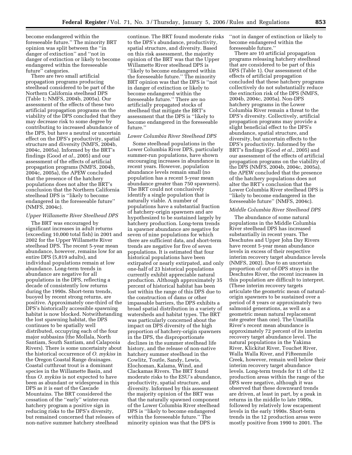become endangered within the foreseeable future.'' The minority BRT opinion was split between the ''in danger of extinction'' and ''not in danger of extinction or likely to become endangered within the foreseeable future'' categories.

There are two small artificial propagation programs producing steelhead considered to be part of the Northern California steelhead DPS (Table 1; NMFS, 2004b, 2005a). Our assessment of the effects of these two artificial propagation programs on the viability of the DPS concluded that they may decrease risk to some degree by contributing to increased abundance of the DPS, but have a neutral or uncertain effect on the DPS's productivity, spatial structure and diversity (NMFS, 2004b, 2004c, 2005a). Informed by the BRT's findings (Good *et al.*, 2005) and our assessment of the effects of artificial propagation programs (NMFS, 2004b, 2004c, 2005a), the APEW concluded that the presence of the hatchery populations does not alter the BRT's conclusion that the Northern California steelhead DPS is ''likely to become endangered in the foreseeable future'' (NMFS, 2004c).

#### *Upper Willamette River Steelhead DPS*

The BRT was encouraged by significant increases in adult returns (exceeding 10,000 total fish) in 2001 and 2002 for the Upper Willamette River steelhead DPS. The recent 5-year mean abundance, however, remains low for an entire DPS (5,819 adults), and individual populations remain at low abundance. Long-term trends in abundance are negative for all populations in the DPS, reflecting a decade of consistently low returns during the 1990s. Short-term trends, buoyed by recent strong returns, are positive. Approximately one-third of the DPS's historically accessible spawning habitat is now blocked. Notwithstanding the lost spawning habitat, the DPS continues to be spatially well distributed, occupying each of the four major subbasins (the Mollala, North Santiam, South Santiam, and Calapooia Rivers). There is some uncertainty about the historical occurrence of *O. mykiss* in the Oregon Coastal Range drainages. Coastal cutthroat trout is a dominant species in the Willamette Basin, and thus *O. mykiss* is not expected to have been as abundant or widespread in this DPS as it is east of the Cascade Mountains. The BRT considered the cessation of the ''early'' winter-run hatchery program a positive sign in reducing risks to the DPS's diversity, but remained concerned that releases of non-native summer hatchery steelhead

continue. The BRT found moderate risks to the DPS's abundance, productivity, spatial structure, and diversity. Based on this risk assessment, the majority opinion of the BRT was that the Upper Willamette River steelhead DPS is ''likely to become endangered within the foreseeable future.'' The minority BRT opinion was that the DPS is ''not in danger of extinction or likely to become endangered within the foreseeable future.'' There are no artificially propagated stocks of steelhead that mitigate the BRT's assessment that the DPS is ''likely to become endangered in the foreseeable future.''

## *Lower Columbia River Steelhead DPS*

Some steelhead populations in the Lower Columbia River DPS, particularly summer-run populations, have shown encouraging increases in abundance in recent years. However, population abundance levels remain small (no population has a recent 5-year mean abundance greater than 750 spawners). The BRT could not conclusively identify a single population that is naturally viable. A number of populations have a substantial fraction of hatchery-origin spawners and are hypothesized to be sustained largely by hatchery production. Long-term trends in spawner abundance are negative for seven of nine populations for which there are sufficient data, and short-term trends are negative for five of seven populations. It is estimated that four historical populations have been extirpated or nearly extirpated, and only one-half of 23 historical populations currently exhibit appreciable natural production. Although approximately 35 percent of historical habitat has been lost within the range of this DPS due to the construction of dams or other impassable barriers, the DPS exhibits a broad spatial distribution in a variety of watersheds and habitat types. The BRT was particularly concerned about the impact on DPS diversity of the high proportion of hatchery-origin spawners in the DPS, the disproportionate declines in the summer steelhead life history, and the release of non-native hatchery summer steelhead in the Cowlitz, Toutle, Sandy, Lewis, Elochoman, Kalama, Wind, and Clackamas Rivers. The BRT found moderate risks to the ESU's abundance, productivity, spatial structure, and diversity. Informed by this assessment the majority opinion of the BRT was that the naturally spawned component of the Lower Columbia River steelhead DPS is ''likely to become endangered within the foreseeable future.'' The minority opinion was that the DPS is

''not in danger of extinction or likely to become endangered within the foreseeable future.''

There are 10 artificial propagation programs releasing hatchery steelhead that are considered to be part of this DPS (Table 1). Our assessment of the effects of artificial propagation concluded that these hatchery programs collectively do not substantially reduce the extinction risk of the DPS (NMFS, 2004b, 2004c, 2005a). Non-DPS hatchery programs in the Lower Columbia River remain a threat to the DPS's diversity. Collectively, artificial propagation programs may provide a slight beneficial effect to the DPS's abundance, spatial structure, and diversity, but uncertain effects to the DPS's productivity. Informed by the BRT's findings (Good *et al.*, 2005) and our assessment of the effects of artificial propagation programs on the viability of the DPS (NMFS, 2004b, 2004c, 2005a), the APEW concluded that the presence of the hatchery populations does not alter the BRT's conclusion that the Lower Columbia River steelhead DPS is ''likely to become endangered in the foreseeable future'' (NMFS, 2004c).

#### *Middle Columbia River Steelhead DPS*

The abundance of some natural populations in the Middle Columbia River steelhead DPS has increased substantially in recent years. The Deschutes and Upper John Day Rivers have recent 5-year mean abundance levels in excess of their respective interim recovery target abundance levels (NMFS, 2002). Due to an uncertain proportion of out-of-DPS strays in the Deschutes River, the recent increases in this population are difficult to interpret. (These interim recovery targets articulate the geometric mean of naturalorigin spawners to be sustained over a period of 8 years or approximately two salmonid generations, as well as a geometric mean natural replacement rate greater than one). The Umatilla River's recent mean abundance is approximately 72 percent of its interim recovery target abundance level. The natural populations in the Yakima River, Klickitat River, Touchet River, Walla Walla River, and Fifteenmile Creek, however, remain well below their interim recovery target abundance levels. Long-term trends for 11 of the 12 production areas within the range of the DPS were negative, although it was observed that these downward trends are driven, at least in part, by a peak in returns in the middle to late 1980s, followed by relatively low escapement levels in the early 1990s. Short-term trends in the 12 production areas were mostly positive from 1990 to 2001. The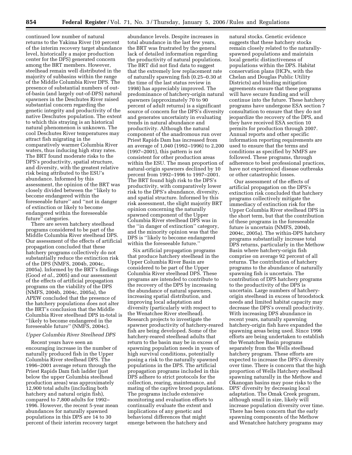continued low number of natural returns to the Yakima River (10 percent of the interim recovery target abundance level, historically a major production center for the DPS) generated concern among the BRT members. However, steelhead remain well distributed in the majority of subbasins within the range of the Middle Columbia River DPS. The presence of substantial numbers of outof-basin (and largely out-of-DPS) natural spawners in the Deschutes River raised substantial concern regarding the genetic integrity and productivity of the native Deschutes population. The extent to which this straying is an historical natural phenomenon is unknown. The cool Deschutes River temperatures may attract fish migrating in the comparatively warmer Columbia River waters, thus inducing high stray rates. The BRT found moderate risks to the DPS's productivity, spatial structure, and diversity, with the greatest relative risk being attributed to the ESU's abundance. Informed by this assessment, the opinion of the BRT was closely divided between the ''likely to become endangered within the foreseeable future'' and ''not in danger of extinction or likely to become endangered within the foreseeable future'' categories.

There are seven hatchery steelhead programs considered to be part of the Middle Columbia River steelhead DPS. Our assessment of the effects of artificial propagation concluded that these hatchery programs collectively do not substantially reduce the extinction risk of the DPS (NMFS, 2004b, 2004c, 2005a). Informed by the BRT's findings (Good *et al.*, 2005) and our assessment of the effects of artificial propagation programs on the viability of the DPS (NMFS, 2004b, 2004c, 2005a), the APEW concluded that the presence of the hatchery populations does not alter the BRT's conclusion that the Middle Columbia River steelhead DPS in-total is ''likely to become endangered in the foreseeable future'' (NMFS, 2004c).

#### *Upper Columbia River Steelhead DPS*

Recent years have seen an encouraging increase in the number of naturally produced fish in the Upper Columbia River steelhead DPS. The 1996–2001 average return through the Priest Rapids Dam fish ladder (just below the upper Columbia steelhead production areas) was approximately 12,900 total adults (including both hatchery and natural origin fish), compared to 7,800 adults for 1992– 1996. However, the recent 5-year mean abundances for naturally spawned populations in this DPS are 14 to 30 percent of their interim recovery target

abundance levels. Despite increases in total abundance in the last few years, the BRT was frustrated by the general lack of detailed information regarding the productivity of natural populations. The BRT did not find data to suggest that the extremely low replacement rate of naturally spawning fish (0.25–0.30 at the time of the last status review in 1998) has appreciably improved. The predominance of hatchery-origin natural spawners (approximately 70 to 90 percent of adult returns) is a significant source of concern for the DPS's diversity and generates uncertainty in evaluating trends in natural abundance and productivity. Although the natural component of the anadromous run over Priest Rapids Dam has increased from an average of 1,040 (1992–1996) to 2,200 (1997–2001), this pattern is not consistent for other production areas within the ESU. The mean proportion of natural-origin spawners declined by 10 percent from 1992–1996 to 1997–2001. The BRT found high risk to the DPS's productivity, with comparatively lower risk to the DPS's abundance, diversity, and spatial structure. Informed by this risk assessment, the slight majority BRT opinion concerning the naturally spawned component of the Upper Columbia River steelhead DPS was in the ''in danger of extinction'' category, and the minority opinion was that the DPS is ''likely to become endangered within the foreseeable future.''

Six artificial propagation programs that produce hatchery steelhead in the Upper Columbia River Basin are considered to be part of the Upper Columbia River steelhead DPS. These programs are intended to contribute to the recovery of the DPS by increasing the abundance of natural spawners, increasing spatial distribution, and improving local adaptation and diversity (particularly with respect to the Wenatchee River steelhead). Research projects to investigate the spawner productivity of hatchery-reared fish are being developed. Some of the hatchery-reared steelhead adults that return to the basin may be in excess of spawning population needs in years of high survival conditions, potentially posing a risk to the naturally spawned populations in the DPS. The artificial propagation programs included in this DPS adhere to strict protocols for the collection, rearing, maintenance, and mating of the captive brood populations. The programs include extensive monitoring and evaluation efforts to continually evaluate the extent and implications of any genetic and behavioral differences that might emerge between the hatchery and

natural stocks. Genetic evidence suggests that these hatchery stocks remain closely related to the naturallyspawned populations and maintain local genetic distinctiveness of populations within the DPS. Habitat conservation plans (HCPs, with the Chelan and Douglas Public Utility Districts) and binding mitigation agreements ensure that these programs will have secure funding and will continue into the future. These hatchery programs have undergone ESA section 7 consultation to ensure that they do not jeopardize the recovery of the DPS, and they have received ESA section 10 permits for production through 2007. Annual reports and other specific information reporting requirements are used to ensure that the terms and conditions as specified by NMFS are followed. These programs, through adherence to best professional practices, have not experienced disease outbreaks or other catastrophic losses.

Our assessment of the effects of artificial propagation on the DPS's extinction risk concluded that hatchery programs collectively mitigate the immediacy of extinction risk for the Upper Columbia River steelhead DPS in the short term, but that the contribution of these programs in the foreseeable future is uncertain (NMFS, 2004b, 2004c, 2005a). The within-DPS hatchery programs substantially increase total DPS returns, particularly in the Methow Basin where hatchery-origin fish comprise on average 92 percent of all returns. The contribution of hatchery programs to the abundance of naturally spawning fish is uncertain. The contribution of DPS hatchery programs to the productivity of the DPS is uncertain. Large numbers of hatcheryorigin steelhead in excess of broodstock needs and limited habitat capacity may decrease the DPS's overall productivity. With increasing DPS abundance in recent years, naturally spawning hatchery-origin fish have expanded the spawning areas being used. Since 1996 efforts are being undertaken to establish the Wenatchee Basin programs separately from the Wells steelhead hatchery program. These efforts are expected to increase the DPS's diversity over time. There is concern that the high proportion of Wells Hatchery steelhead spawning naturally in the Methow and Okanogan basins may pose risks to the DPS' diversity by decreasing local adaptation. The Omak Creek program, although small in size, likely will increase population diversity over time. There has been concern that the early spawning components of the Methow and Wenatchee hatchery programs may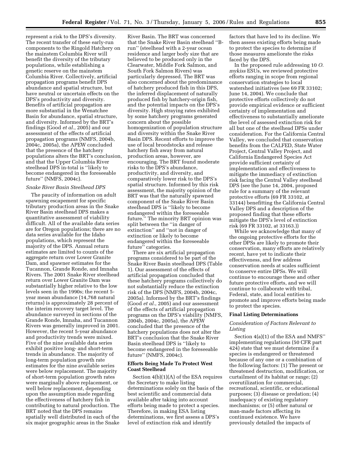represent a risk to the DPS's diversity. The recent transfer of these early-run components to the Ringold Hatchery on the mainstem Columbia River will benefit the diversity of the tributary populations, while establishing a genetic reserve on the mainstem Columbia River. Collectively, artificial propagation programs benefit DPS abundance and spatial structure, but have neutral or uncertain effects on the DPS's productivity and diversity. Benefits of artificial propagation are more substantial in the Wenatchee Basin for abundance, spatial structure, and diversity. Informed by the BRT's findings (Good *et al.*, 2005) and our assessment of the effects of artificial propagation programs (NMFS, 2004b, 2004c, 2005a), the APEW concluded that the presence of the hatchery populations alters the BRT's conclusion, and that the Upper Columbia River steelhead DPS in-total is ''likely to become endangered in the foreseeable future'' (NMFS, 2004c).

### *Snake River Basin Steelhead DPS*

The paucity of information on adult spawning escapement for specific tributary production areas in the Snake River Basin steelhead DPS makes a quantitative assessment of viability difficult. All of the available data series are for Oregon populations; there are no data series available for the Idaho populations, which represent the majority of the DPS. Annual return estimates are limited to counts of the aggregate return over Lower Granite Dam, and spawner estimates for the Tucannon, Grande Ronde, and Imnaha Rivers. The 2001 Snake River steelhead return over Lower Granite Dam was substantially higher relative to the low levels seen in the 1990s; the recent 5 year mean abundance (14,768 natural returns) is approximately 28 percent of the interim recovery target level. The abundance surveyed in sections of the Grande Ronde, Imnaha, and Tucannon Rivers was generally improved in 2001. However, the recent 5-year abundance and productivity trends were mixed. Five of the nine available data series exhibit positive long- and short-term trends in abundance. The majority of long-term population growth rate estimates for the nine available series were below replacement. The majority of short-term population growth rates were marginally above replacement, or well below replacement, depending upon the assumption made regarding the effectiveness of hatchery fish in contributing to natural production. The BRT noted that the DPS remains spatially well distributed in each of the six major geographic areas in the Snake

River Basin. The BRT was concerned that the Snake River Basin steelhead ''Brun'' (steelhead with a 2-year ocean residence and larger body size that are believed to be produced only in the Clearwater, Middle Fork Salmon, and South Fork Salmon Rivers) was particularly depressed. The BRT was also concerned about the predominance of hatchery produced fish in this DPS, the inferred displacement of naturally produced fish by hatchery-origin fish, and the potential impacts on the DPS's diversity. High straying rates exhibited by some hatchery programs generated concern about the possible homogenization of population structure and diversity within the Snake River Basin DPS. Recent efforts to improve the use of local broodstocks and release hatchery fish away from natural production areas, however, are encouraging. The BRT found moderate risks to the DPS's abundance, productivity, and diversity, and comparatively lower risk to the DPS's spatial structure. Informed by this risk assessment, the majority opinion of the BRT was that the naturally spawned component of the Snake River Basin steelhead DPS is ''likely to become endangered within the foreseeable future.'' The minority BRT opinion was split between the ''in danger of extinction'' and ''not in danger of extinction or likely to become endangered within the foreseeable future'' categories.

There are six artificial propagation programs considered to be part of the Snake River Basin steelhead DPS (Table 1). Our assessment of the effects of artificial propagation concluded that these hatchery programs collectively do not substantially reduce the extinction risk of the DPS (NMFS, 2004b, 2004c, 2005a). Informed by the BRT's findings (Good *et al.*, 2005) and our assessment of the effects of artificial propagation programs on the DPS's viability (NMFS, 2004b, 2004c, 2005a), the APEW concluded that the presence of the hatchery populations does not alter the BRT's conclusion that the Snake River Basin steelhead DPS is ''likely to become endangered in the foreseeable future'' (NMFS, 2004c).

## **Efforts Being Made To Protect West Coast Steelhead**

Section 4(b)(1)(A) of the ESA requires the Secretary to make listing determinations solely on the basis of the best scientific and commercial data available after taking into account efforts being made to protect a species. Therefore, in making ESA listing determinations, we first assess a DPS's level of extinction risk and identify

factors that have led to its decline. We then assess existing efforts being made to protect the species to determine if those measures ameliorate the risks faced by the DPS.

In the proposed rule addressing 10 *O. mykiss* ESUs, we reviewed protective efforts ranging in scope from regional conservation strategies to local watershed initiatives (see 69 FR 33102; June 14, 2004). We conclude that protective efforts collectively do not provide empirical evidence or sufficient certainty of implementation and effectiveness to substantially ameliorate the level of assessed extinction risk for all but one of the steelhead DPSs under consideration. For the California Central Valley, we concluded that conservation benefits from the CALFED, State Water Project, Central Valley Project, and California Endangered Species Act provide sufficient certainty of implementation and effectiveness to mitigate the immediacy of extinction risk facing the Central Valley steelhead DPS (see the June 14, 2004, proposed rule for a summary of the relevant protective efforts (69 FR 33102, at 33144) benefitting the California Central Valley DPS and a description of the proposed finding that these efforts mitigate the DPS's level of extinction risk (69 FR 33102, at 33163.))

While we acknowledge that many of the ongoing protective efforts for the other DPSs are likely to promote their conservation, many efforts are relatively recent, have yet to indicate their effectiveness, and few address conservation needs at scales sufficient to conserve entire DPSs. We will continue to encourage these and other future protective efforts, and we will continue to collaborate with tribal, Federal, state, and local entities to promote and improve efforts being made to protect the species.

#### **Final Listing Determinations**

## *Consideration of Factors Relevant to Listing*

Section 4(a)(1) of the ESA and NMFS'' implementing regulations (50 CFR part 424) state that we must determine if a species is endangered or threatened because of any one or a combination of the following factors: (1) The present or threatened destruction, modification, or curtailment of its habitat or range; (2) overutilization for commercial, recreational, scientific, or educational purposes; (3) disease or predation; (4) inadequacy of existing regulatory mechanisms; or (5) other natural or man-made factors affecting its continued existence. We have previously detailed the impacts of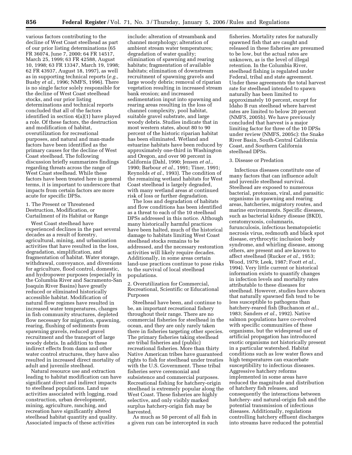various factors contributing to the decline of West Coast steelhead as part of our prior listing determinations (65 FR 36074, June 7, 2000; 64 FR 14517, March 25, 1999; 63 FR 42588, August 10, 1998; 63 FR 13347, March 19, 1998; 62 FR 43937, August 18, 1997), as well as in supporting technical reports (*e.g.*, Busby *et al.*, 1996; NMFS, 1996). There is no single factor solely responsible for the decline of West Coast steelhead stocks, and our prior listing determinations and technical reports concluded that all of the factors identified in section 4(a)(1) have played a role. Of these factors, the destruction and modification of habitat, overutilization for recreational purposes, and natural and man-made factors have been identified as the primary causes for the decline of West Coast steelhead. The following discussion briefly summarizes findings regarding threats across the range of West Coast steelhead. While these factors have been treated here in general terms, it is important to underscore that impacts from certain factors are more acute for specific DPSs.

1. The Present or Threatened Destruction, Modification, or Curtailment of its Habitat or Range

West Coast steelhead have experienced declines in the past several decades as a result of forestry, agricultural, mining, and urbanization activities that have resulted in the loss, degradation, simplification, and fragmentation of habitat. Water storage, withdrawal, conveyance, and diversions for agriculture, flood control, domestic, and hydropower purposes (especially in the Columbia River and Sacramento-San Joaquin River Basins) have greatly reduced or eliminated historically accessible habitat. Modification of natural flow regimes have resulted in increased water temperatures, changes in fish community structures, depleted flow necessary for migration, spawning, rearing, flushing of sediments from spawning gravels, reduced gravel recruitment and the transport of large woody debris. In addition to these indirect effects from dams and other water control structures, they have also resulted in increased direct mortality of adult and juvenile steelhead.

Natural resource use and extraction leading to habitat modification can have significant direct and indirect impacts to steelhead populations. Land use activities associated with logging, road construction, urban development, mining, agriculture, ranching, and recreation have significantly altered steelhead habitat quantity and quality. Associated impacts of these activities

include: alteration of streambank and channel morphology; alteration of ambient stream water temperatures; degradation of water quality; elimination of spawning and rearing habitats; fragmentation of available habitats; elimination of downstream recruitment of spawning gravels and large woody debris; removal of riparian vegetation resulting in increased stream bank erosion; and increased sedimentation input into spawning and rearing areas resulting in the loss of channel complexity, pool habitat, suitable gravel substrate, and large woody debris. Studies indicate that in most western states, about 80 to 90 percent of the historic riparian habitat has been eliminated. Wetland and estuarine habitats have been reduced by approximately one-third in Washington and Oregon, and over 90 percent in California (Dahl, 1990; Jensen *et al.*, 1990; Barbour *et al.*, 1991; Tiner, 1991; Reynolds *et al.*, 1993). The condition of the remaining wetland habitats for West Coast steelhead is largely degraded, with many wetland areas at continued risk of loss or further degradation.

The loss and degradation of habitats and flow conditions has been identified as a threat to each of the 10 steelhead DPSs addressed in this notice. Although many historically harmful practices have been halted, much of the historical damage to habitats limiting West Coast steelhead stocks remains to be addressed, and the necessary restoration activities will likely require decades. Additionally, in some areas certain land-use practices continue to pose risks to the survival of local steelhead populations.

## 2. Overutilization for Commercial, Recreational, Scientific or Educational Purposes

Steelhead have been, and continue to be, an important recreational fishery throughout their range. There are no commercial fisheries for steelhead in the ocean, and they are only rarely taken there in fisheries targeting other species. The primary fisheries taking steelhead are tribal fisheries and (public) recreational fisheries. More than thirty Native American tribes have guaranteed rights to fish for steelhead under treaties with the U.S. Government. These tribal fisheries serve ceremonial and subsistence and commercial purposes. Recreational fishing for hatchery-origin steelhead is extremely popular along the West Coast. These fisheries are highly selective, and only visibly marked surplus hatchery-origin fish may be harvested.

As much as 50 percent of all fish in a given run can be intercepted in such

fisheries. Mortality rates for naturally spawned fish that are caught and released in these fisheries are presumed to be low, but the actual rates are unknown, as is the level of illegal retention. In the Columbia River, steelhead fishing is regulated under Federal, tribal and state agreement. Under these agreements the total harvest rate for steelhead intended to spawn naturally has been limited to approximately 10 percent, except for Idaho B run steelhead where harvest rates are limited to below 20 percent (NMFS, 2005b). We have previously concluded that harvest is a major limiting factor for three of the 10 DPSs under review (NMFS, 2005c): the Snake River Basin, South-Central California Coast, and Southern California steelhead DPSs.

## 3. Disease or Predation

Infectious diseases constitute one of many factors that can influence adult and juvenile steelhead survival. Steelhead are exposed to numerous bacterial, protozoan, viral, and parasitic organisms in spawning and rearing areas, hatcheries, migratory routes, and marine environments. Specific diseases, such as bacterial kidney disease (BKD), ceratomyxosis, columnaris, furunculosis, infectious hematopoietic necrosis virus, redmouth and black spot disease, erythrocytic inclusion body syndrome, and whirling disease, among others, are present and are known to affect steelhead (Rucker *et al.*, 1953; Wood, 1979; Leek, 1987; Foott *et al.*, 1994). Very little current or historical information exists to quantify changes in infection levels and mortality rates attributable to these diseases for steelhead. However, studies have shown that naturally spawned fish tend to be less susceptible to pathogens than hatchery-reared fish (Buchanon *et al.*, 1983; Sanders *et al.*, 1992). Native salmon populations have co-evolved with specific communities of these organisms, but the widespread use of artificial propagation has introduced exotic organisms not historically present in a particular watershed. Habitat conditions such as low water flows and high temperatures can exacerbate susceptibility to infectious diseases. Aggressive hatchery reforms implemented in some areas have reduced the magnitude and distribution of hatchery fish releases, and consequently the interactions between hatchery- and natural-origin fish and the potential transmission of infectious diseases. Additionally, regulations controlling hatchery effluent discharges into streams have reduced the potential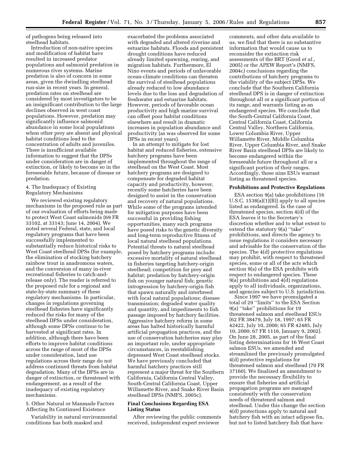of pathogens being released into steelhead habitats.

Introduction of non-native species and modification of habitat have resulted in increased predator populations and salmonid predation in numerous river systems. Marine predation is also of concern in some areas, given the dwindling steelhead run-size in recent years. In general, predation rates on steelhead are considered by most investigators to be an insignificant contribution to the large declines observed in west coast populations. However, predation may significantly influence salmonid abundance in some local populations when other prey are absent and physical habitat conditions lead to the concentration of adults and juveniles. There is insufficient available information to suggest that the DPSs under consideration are in danger of extinction, or likely to become so in the foreseeable future, because of disease or predation.

## 4. The Inadequacy of Existing Regulatory Mechanisms

We reviewed existing regulatory mechanisms in the proposed rule as part of our evaluation of efforts being made to protect West Coast salmonids (69 FR 33102, at 33143; June 14, 2004). We noted several Federal, state, and local regulatory programs that have been successfully implemented to substantially reduce historical risks to West Coast steelhead DPSs (for example, the elimination of stocking hatchery rainbow trout in anadromous waters, and the conversion of many in-river recreational fisheries to catch-andrelease only). The reader is referred to the proposed rule for a regional and state-by-state summary of these regulatory mechanisms. In particular, changes in regulations governing steelhead fisheries have significantly reduced the risks for many of the steelhead DPSs under consideration, although some DPSs continue to be harvested at significant rates. In addition, although there have been efforts to improve habitat conditions across the range of most of the DPSs under consideration, land use regulations across their range do not address continued threats from habitat degradation. Many of the DPSs are in danger of extinction, or threatened with endangerment, as a result of the inadequacy of existing regulatory mechanisms.

5. Other Natural or Manmade Factors Affecting Its Continued Existence

Variability in natural environmental conditions has both masked and

exacerbated the problems associated with degraded and altered riverine and estuarine habitats. Floods and persistent drought conditions have reduced already limited spawning, rearing, and migration habitats. Furthermore, El Nino events and periods of unfavorable ocean-climate conditions can threaten the survival of steelhead populations already reduced to low abundance levels due to the loss and degradation of freshwater and estuarine habitats. However, periods of favorable ocean productivity and high marine survival can offset poor habitat conditions elsewhere and result in dramatic increases in population abundance and productivity (as was observed for some DPSs in recent years).

In an attempt to mitigate for lost habitat and reduced fisheries, extensive hatchery programs have been implemented throughout the range of steelhead on the West Coast. Most hatchery programs are designed to compensate for degraded habitat capacity and productivity, however, recently some hatcheries have been designed to assist in the conservation and recovery of natural populations. While some of the programs intended for mitigation purposes have been successful in providing fishing opportunities, many such programs have posed risks to the genetic diversity and long-term reproductive fitness of local natural steelhead populations. Potential threats to natural steelhead posed by hatchery programs include: excessive mortality of natural steelhead in fisheries targeting hatchery-origin steelhead; competition for prey and habitat; predation by hatchery-origin fish on younger natural fish; genetic introgression by hatchery-origin fish that spawn naturally and interbreed with local natural populations; disease transmission; degraded water quality and quantity, and impediments to fish passage imposed by hatchery facilities. Aggressive hatchery reform in some areas has halted historically harmful artificial propagation practices, and the use of conservation hatcheries may play an important role, under appropriate circumstances, in reestablishing depressed West Coast steelhead stocks. We have previously concluded that harmful hatchery practices still represent a major threat for the Southern California, California Central Valley, South-Central California Coast, Upper Willamette River, and Snake River Basin steelhead DPSs (NMFS, 2005c).

## **Final Conclusions Regarding ESA Listing Status**

After reviewing the public comments received, independent expert reviewer

comments, and other data available to us, we find that there is no substantive information that would cause us to reconsider the extinction risk assessments of the BRT (Good *et al.*, 2005) or the APEW Report's (NMFS, 2004c) conclusions regarding the contributions of hatchery programs to the viability of the subject DPSs. We conclude that the Southern California steelhead DPS is in danger of extinction throughout all or a significant portion of its range, and warrants listing as an endangered species. We conclude that the South-Central California Coast, Central California Coast, California Central Valley, Northern California, Lower Columbia River, Upper Willamette River, Middle Columbia River, Upper Columbia River, and Snake River Basin steelhead DPSs are likely to become endangered within the foreseeable future throughout all or a significant portion of their ranges. Accordingly, these nine ESUs warrant listing as threatened species.

#### **Prohibitions and Protective Regulations**

ESA section 9(a) take prohibitions (16 U.S.C. 1538(a)(1)(B)) apply to all species listed as endangered. In the case of threatened species, section 4(d) of the ESA leaves it to the Secretary's discretion whether and to what extent to extend the statutory 9(a) ''take'' prohibitions, and directs the agency to issue regulations it considers necessary and advisable for the conservation of the species. The 4(d) protective regulations may prohibit, with respect to threatened species, some or all of the acts which section 9(a) of the ESA prohibits with respect to endangered species. These  $9(a)$  prohibitions and  $4(d)$  regulations apply to all individuals, organizations, and agencies subject to U.S. jurisdiction.

Since 1997 we have promulgated a total of 29 ''limits'' to the ESA Section 9(a) ''take'' prohibitions for 19 threatened salmon and steelhead ESUs (62 FR 38479, July 18, 1997; 65 FR 42422, July 10, 2000; 65 FR 42485, July 10, 2000; 67 FR 1116, January 9, 2002). On June 28, 2005, as part of the final listing determinations for 16 West Coast salmon ESUs, we amended and streamlined the previously promulgated 4(d) protective regulations for threatened salmon and steelhead (70 FR 37160). We finalized an amendment to provide the necessary flexibility to ensure that fisheries and artificial propagation programs are managed consistently with the conservation needs of threatened salmon and steelhead. Under this change the section 4(d) protections apply to natural and hatchery fish with an intact adipose fin, but not to listed hatchery fish that have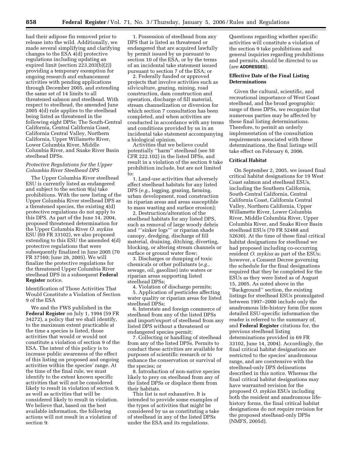had their adipose fin removed prior to release into the wild. Additionally, we made several simplifying and clarifying changes to the ESA 4(d) protective regulations including updating an expired limit (section 223.203(b)(2)) providing a temporary exemption for ongoing research and enhancement activities with pending applications through December 2005, and extending the same set of 14 limits to all threatened salmon and steelhead. With respect to steelhead, the amended June 2005 4(d) rule applies to the steelhead being listed as threatened in the following eight DPSs: The South-Central California, Central California Coast, California Central Valley, Northern California, Upper Willamette River, Lower Columbia River, Middle Columbia River, and Snake River Basin steelhead DPSs.

## *Protective Regulations for the Upper Columbia River Steelhead DPS*

The Upper Columbia River steelhead ESU is currently listed as endangered and subject to the section 9(a) take prohibitions. With the new listing of the Upper Columbia River steelhead DPS as a threatened species, the existing 4(d) protective regulations do not apply to this DPS. As part of the June 14, 2004, proposed threatened determination for the Upper Columbia River *O. mykiss*  ESU (69 FR 33102), we also proposed extending to this ESU the amended 4(d) protective regulations that were subsequently finalized in June 2005 (70 FR 37160; June 28, 2005). We will finalize the protective regulations for the threatened Upper Columbia River steelhead DPS in a subsequent **Federal Register** notice.

Identification of Those Activities That Would Constitute a Violation of Section 9 of the ESA

We and the FWS published in the **Federal Register** on July 1, 1994 (59 FR 34272), a policy that we shall identify, to the maximum extent practicable at the time a species is listed, those activities that would or would not constitute a violation of section 9 of the ESA. The intent of this policy is to increase public awareness of the effect of this listing on proposed and ongoing activities within the species' range. At the time of the final rule, we must identify to the extent known specific activities that will not be considered likely to result in violation of section 9, as well as activities that will be considered likely to result in violation. We believe that, based on the best available information, the following actions will not result in a violation of section 9:

1. Possession of steelhead from any DPS that is listed as threatened or endangered that are acquired lawfully by permit issued by us pursuant to section 10 of the ESA, or by the terms of an incidental take statement issued pursuant to section 7 of the ESA; or

2. Federally funded or approved projects that involve activities such as silviculture, grazing, mining, road construction, dam construction and operation, discharge of fill material, stream channelization or diversion for which section 7 consultation has been completed, and when activities are conducted in accordance with any terms and conditions provided by us in an incidental take statement accompanying a biological opinion.

Activities that we believe could potentially ''harm'' steelhead (see 50 CFR 222.102) in the listed DPSs, and result in a violation of the section 9 take prohibition include, but are not limited to:

1. Land-use activities that adversely affect steelhead habitats for any listed DPS (*e.g.*, logging, grazing, farming, urban development, road construction in riparian areas and areas susceptible to mass wasting and surface erosion);

2. Destruction/alteration of the steelhead habitats for any listed DPS, such as removal of large woody debris and '''sinker logs''' or riparian shade canopy, dredging, discharge of fill material, draining, ditching, diverting, blocking, or altering stream channels or surface or ground water flow;

3. Discharges or dumping of toxic chemicals or other pollutants (*e.g.*, sewage, oil, gasoline) into waters or riparian areas supporting listed steelhead DPSs;

4. Violation of discharge permits; 5. Application of pesticides affecting water quality or riparian areas for listed steelhead DPSs;

6. Interstate and foreign commerce of steelhead from any of the listed DPSs and import/export of steelhead from any listed DPS without a threatened or endangered species permit;

7. Collecting or handling of steelhead from any of the listed DPSs. Permits to conduct these activities are available for purposes of scientific research or to enhance the conservation or survival of the species; or

8. Introduction of non-native species likely to prey on steelhead from any of the listed DPSs or displace them from their habitats.

This list is not exhaustive. It is intended to provide some examples of the types of activities that might be considered by us as constituting a take of steelhead in any of the listed DPSs under the ESA and its regulations.

Questions regarding whether specific activities will constitute a violation of the section 9 take prohibitions and general inquiries regarding prohibitions and permits, should be directed to us (*see* **ADDRESSES**).

## **Effective Date of the Final Listing Determinations**

Given the cultural, scientific, and recreational importance of West Coast steelhead, and the broad geographic range of these DPSs, we recognize that numerous parties may be affected by these final listing determinations. Therefore, to permit an orderly implementation of the consultation requirements associated with these determinations, the final listings will take effect on February 6, 2006.

## **Critical Habitat**

On September 2, 2005, we issued final critical habitat designations for 19 West Coast salmon and steelhead ESUs, including the Southern California, South-Central California, Central California Coast, California Central Valley, Northern California, Upper Willamette River, Lower Columbia River, Middle Columbia River, Upper Columbia River, and Snake River Basin steelhead ESUs (70 FR 52488 and 52630). At the time of these final critical habitat designations for steelhead we had proposed including co-occurring resident *O. mykiss* as part of the ESUs; however, a Consent Decree governing the schedule for the final designations required that they be completed for the ESUs as they were listed as of August 15, 2005. As noted above in the ''Background'' section, the existing listings for steelhead ESUs promulgated between 1997–2000 include only the anadromous life-history form (for more detailed ESU-specific information the reader is referred to the summary of, and **Federal Register** citations for, the previous steelhead listing determinations provided in 69 FR 33102, June 14, 2004). Accordingly, the final critical habitat designations are restricted to the species' anadromous range, and are coextensive with the steelhead-only DPS delineations described in this notice. Whereas the final critical habitat designations may have warranted revision for the proposed *O. mykiss* ESUs including both the resident and anadromous lifehistory forms, the final critical habitat designations do not require revision for the proposed steelhead-only DPSs (NMFS, 2005d).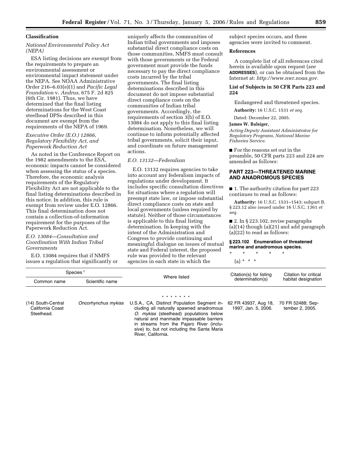#### **Classification**

## *National Environmental Policy Act (NEPA)*

ESA listing decisions are exempt from the requirements to prepare an environmental assessment or environmental impact statement under the NEPA. See NOAA Administrative Order 216–6.03(e)(1) and *Pacific Legal Foundation* v. *Andrus,* 675 F. 2d 825 (6th Cir. 1981). Thus, we have determined that the final listing determinations for the West Coast steelhead DPSs described in this document are exempt from the requirements of the NEPA of 1969.

## *Executive Order (E.O.) 12866, Regulatory Flexibility Act, and Paperwork Reduction Act*

As noted in the Conference Report on the 1982 amendments to the ESA, economic impacts cannot be considered when assessing the status of a species. Therefore, the economic analysis requirements of the Regulatory Flexibility Act are not applicable to the final listing determinations described in this notice. In addition, this rule is exempt from review under E.O. 12866. This final determination does not contain a collection-of-information requirement for the purposes of the Paperwork Reduction Act.

## *E.O. 13084—Consultation and Coordination With Indian Tribal Governments*

E.O. 13084 requires that if NMFS issues a regulation that significantly or

uniquely affects the communities of Indian tribal governments and imposes substantial direct compliance costs on those communities, NMFS must consult with those governments or the Federal government must provide the funds necessary to pay the direct compliance costs incurred by the tribal governments. The final listing determinations described in this document do not impose substantial direct compliance costs on the communities of Indian tribal governments. Accordingly, the requirements of section 3(b) of E.O. 13084 do not apply to this final listing determination. Nonetheless, we will continue to inform potentially affected tribal governments, solicit their input, and coordinate on future management actions.

#### *E.O. 13132—Federalism*

E.O. 13132 requires agencies to take into account any federalism impacts of regulations under development. It includes specific consultation directives for situations where a regulation will preempt state law, or impose substantial direct compliance costs on state and local governments (unless required by statute). Neither of those circumstances is applicable to this final listing determination. In keeping with the intent of the Administration and Congress to provide continuing and meaningful dialogue on issues of mutual state and Federal interest, the proposed rule was provided to the relevant agencies in each state in which the

subject species occurs, and these agencies were invited to comment.

### **References**

A complete list of all references cited herein is available upon request (*see*  **ADDRESSES**), or can be obtained from the Internet at: *http://www.nwr.noaa.gov.* 

## **List of Subjects in 50 CFR Parts 223 and 224**

Endangered and threatened species.

**Authority:** 16 U.S.C. 1531 *et seq.* 

Dated: December 22, 2005.

## **James W. Balsiger,**

*Acting Deputy Assistant Administrator for Regulatory Programs, National Marine Fisheries Service.* 

■ For the reasons set out in the preamble, 50 CFR parts 223 and 224 are amended as follows:

## **PART 223—THREATENED MARINE AND ANADROMOUS SPECIES**

■ 1. The authority citation for part 223 continues to read as follows:

**Authority:** 16 U.S.C. 1531–1543; subpart B, § 223.12 also issued under 16 U.S.C. 1361 *et seq.* 

■ 2. In § 223.102, revise paragraphs (a)(14) though (a)(21) and add paragraph (a)(22) to read as follows:

## **§ 223.102 Enumeration of threatened marine and anadromous species.**

\* \* \* \* \*

(a) \* \* \*

| Species <sup>1</sup>                   |                     |                                                                                         | Citation(s) for listing                     | Citation for critical                |
|----------------------------------------|---------------------|-----------------------------------------------------------------------------------------|---------------------------------------------|--------------------------------------|
| Common name                            | Scientific name     | Where listed                                                                            | determination(s)                            | habitat designation                  |
|                                        |                     | * * * * * * *                                                                           |                                             |                                      |
| (14) South-Central<br>California Coast | Oncorhynchus mykiss | U.S.A., CA, Distinct Population Segment in-<br>cluding all naturally spawned anadromous | 62 FR 43937, Aug 18,<br>1997, Jan. 5, 2006. | 70 FR 52488; Sep-<br>tember 2, 2005. |

California Coast Steelhead.

cluding all naturally spawned anadromous *O. mykiss* (steelhead) populations below natural and manmade impassable barriers in streams from the Pajaro River (inclusive) to, but not including the Santa Maria River, California.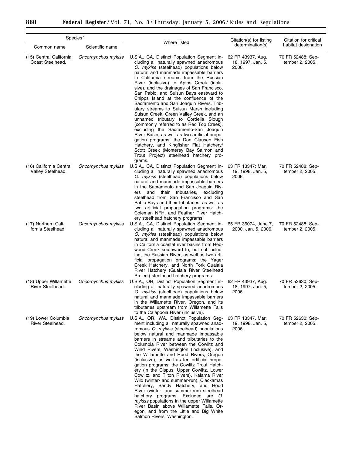Ξ

| Species <sup>1</sup>                         |                     | Where listed                                                                                                                                                                                                                                                                                                                                                                                                                                                                                                                                                                                                                                                                                                                                                                                                                                                                                          | Citation(s) for listing                         | Citation for critical                |
|----------------------------------------------|---------------------|-------------------------------------------------------------------------------------------------------------------------------------------------------------------------------------------------------------------------------------------------------------------------------------------------------------------------------------------------------------------------------------------------------------------------------------------------------------------------------------------------------------------------------------------------------------------------------------------------------------------------------------------------------------------------------------------------------------------------------------------------------------------------------------------------------------------------------------------------------------------------------------------------------|-------------------------------------------------|--------------------------------------|
| Common name                                  | Scientific name     |                                                                                                                                                                                                                                                                                                                                                                                                                                                                                                                                                                                                                                                                                                                                                                                                                                                                                                       | determination(s)                                | habitat designation                  |
| (15) Central California<br>Coast Steelhead.  | Oncorhynchus mykiss | U.S.A., CA, Distinct Population Segment in-<br>cluding all naturally spawned anadromous<br>O. mykiss (steelhead) populations below<br>natural and manmade impassable barriers<br>in California streams from the Russian<br>River (inclusive) to Aptos Creek (inclu-<br>sive), and the drainages of San Francisco,<br>San Pablo, and Suisun Bays eastward to<br>Chipps Island at the confluence of the<br>Sacramento and San Joaquin Rivers. Trib-<br>utary streams to Suisun Marsh including<br>Suisun Creek, Green Valley Creek, and an<br>unnamed tributary to Cordelia Slough<br>(commonly referred to as Red Top Creek),<br>excluding the Sacramento-San Joaquin<br>River Basin, as well as two artificial propa-<br>gation programs: the Don Clausen Fish<br>Hatchery, and Kingfisher Flat Hatchery/<br>Scott Creek (Monterey Bay Salmon and<br>Trout Project) steelhead hatchery pro-<br>grams. | 62 FR 43937, Aug.<br>18, 1997, Jan. 5,<br>2006. | 70 FR 52488; Sep-<br>tember 2, 2005. |
| (16) California Central<br>Valley Steelhead. | Oncorhynchus mykiss | U.S.A., CA, Distinct Population Segment in-<br>cluding all naturally spawned anadromous<br>O. mykiss (steelhead) populations below<br>natural and manmade impassable barriers<br>in the Sacramento and San Joaquin Riv-<br>and<br>their tributaries,<br>excluding<br>ers<br>steelhead from San Francisco and San<br>Pablo Bays and their tributaries, as well as<br>two artificial propagation programs: the<br>Coleman NFH, and Feather River Hatch-<br>ery steelhead hatchery programs.                                                                                                                                                                                                                                                                                                                                                                                                             | 63 FR 13347; Mar.<br>19, 1998, Jan. 5,<br>2006. | 70 FR 52488; Sep-<br>tember 2, 2005. |
| (17) Northern Cali-<br>fornia Steelhead.     | Oncorhynchus mykiss | U.S.A., CA, Distinct Population Segment in-<br>cluding all naturally spawned anadromous<br>O. mykiss (steelhead) populations below<br>natural and manmade impassable barriers<br>in California coastal river basins from Red-<br>wood Creek southward to, but not includ-<br>ing, the Russian River, as well as two arti-<br>ficial propagation programs: the Yager<br>Creek Hatchery, and North Fork Gualala<br>River Hatchery (Gualala River Steelhead<br>Project) steelhead hatchery programs.                                                                                                                                                                                                                                                                                                                                                                                                     | 65 FR 36074, June 7,<br>2000, Jan. 5, 2006.     | 70 FR 52488; Sep-<br>tember 2, 2005. |
| (18) Upper Willamette<br>River Steelhead.    | Oncorhynchus mykiss | U.S.A., OR, Distinct Population Segment in-<br>cluding all naturally spawned anadromous<br>O. mykiss (steelhead) populations below<br>natural and manmade impassable barriers<br>in the Willamette River, Oregon, and its<br>tributaries upstream from Willamette Falls<br>to the Calapooia River (inclusive).                                                                                                                                                                                                                                                                                                                                                                                                                                                                                                                                                                                        | 62 FR 43937, Aug.<br>18, 1997, Jan. 5,<br>2006. | 70 FR 52630; Sep-<br>tember 2, 2005. |
| (19) Lower Columbia<br>River Steelhead.      | Oncorhynchus mykiss | U.S.A., OR, WA, Distinct Population Seg-<br>ment including all naturally spawned anad-<br>romous O. mykiss (steelhead) populations<br>below natural and manmade impassable<br>barriers in streams and tributaries to the<br>Columbia River between the Cowlitz and<br>Wind Rivers, Washington (inclusive), and<br>the Willamette and Hood Rivers, Oregon<br>(inclusive), as well as ten artificial propa-<br>gation programs: the Cowlitz Trout Hatch-<br>ery (in the Cispus, Upper Cowlitz, Lower<br>Cowlitz, and Tilton Rivers), Kalama River<br>Wild (winter- and summer-run), Clackamas<br>Hatchery, Sandy Hatchery, and Hood<br>River (winter- and summer-run) steelhead<br>hatchery programs. Excluded are O.<br>mykiss populations in the upper Willamette<br>River Basin above Willamette Falls, Or-<br>egon, and from the Little and Big White<br>Salmon Rivers, Washington.                 | 63 FR 13347, Mar.<br>19, 1998, Jan. 5,<br>2006. | 70 FR 52630; Sep-<br>tember 2, 2005. |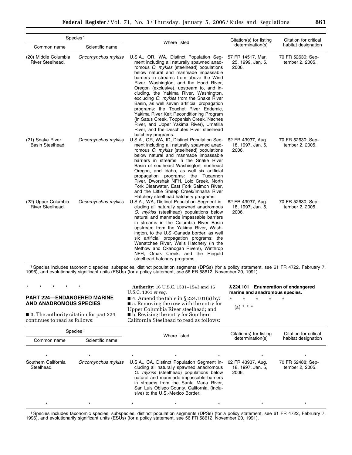| Species <sup>1</sup>                     |                     |                                                                                                                                                                                                                                                                                                                                                                                                                                                                                                                                                                                                                                                                                                | Citation(s) for listing                         | Citation for critical                |
|------------------------------------------|---------------------|------------------------------------------------------------------------------------------------------------------------------------------------------------------------------------------------------------------------------------------------------------------------------------------------------------------------------------------------------------------------------------------------------------------------------------------------------------------------------------------------------------------------------------------------------------------------------------------------------------------------------------------------------------------------------------------------|-------------------------------------------------|--------------------------------------|
| Common name                              | Scientific name     | Where listed                                                                                                                                                                                                                                                                                                                                                                                                                                                                                                                                                                                                                                                                                   | determination(s)                                | habitat designation                  |
| (20) Middle Columbia<br>River Steelhead. | Oncorhynchus mykiss | U.S.A., OR, WA, Distinct Population Seg-<br>ment including all naturally spawned anad-<br>romous O. mykiss (steelhead) populations<br>below natural and manmade impassable<br>barriers in streams from above the Wind<br>River, Washington, and the Hood River,<br>Oregon (exclusive), upstream to, and in-<br>cluding, the Yakima River, Washington,<br>excluding O. mykiss from the Snake River<br>Basin, as well seven artificial propagation<br>programs: the Touchet River Endemic,<br>Yakima River Kelt Reconditioning Program<br>(in Satus Creek, Toppenish Creek, Naches<br>River, and Upper Yakima River), Umatilla<br>River, and the Deschutes River steelhead<br>hatchery programs. | 57 FR 14517, Mar.<br>25, 1999, Jan. 5,<br>2006. | 70 FR 52630; Sep-<br>tember 2, 2005. |
| (21) Snake River<br>Basin Steelhead.     | Oncorhynchus mykiss | U.S.A., OR, WA, ID, Distinct Population Seg-<br>ment including all naturally spawned anad-<br>romous O. mykiss (steelhead) populations<br>below natural and manmade impassable<br>barriers in streams in the Snake River<br>Basin of southeast Washington, northeast<br>Oregon, and Idaho, as well six artificial<br>propagation<br>programs: the Tucannon<br>River, Dworshak NFH, Lolo Creek, North<br>Fork Clearwater, East Fork Salmon River,<br>and the Little Sheep Creek/Imnaha River<br>Hatchery steelhead hatchery programs.                                                                                                                                                           | 62 FR 43937, Aug.<br>18, 1997, Jan. 5,<br>2006. | 70 FR 52630; Sep-<br>tember 2, 2005. |
| (22) Upper Columbia<br>River Steelhead.  | Oncorhynchus mykiss | U.S.A., WA, Distinct Population Segment in-<br>cluding all naturally spawned anadromous<br>O. mykiss (steelhead) populations below<br>natural and manmade impassable barriers<br>in streams in the Columbia River Basin<br>upstream from the Yakima River, Wash-<br>ington, to the U.S.-Canada border, as well<br>six artificial propagation programs: the<br>Wenatchee River, Wells Hatchery (in the<br>Methow and Okanogan Rivers), Winthrop<br>NFH, Omak Creek, and the Ringold<br>steelhead hatchery programs.                                                                                                                                                                             | 62 FR 43937, Aug.<br>18, 1997, Jan. 5,<br>2006. | 70 FR 52630; Sep-<br>tember 2, 2005. |

1Species includes taxonomic species, subspecies, distinct population segments (DPSs) (for a policy statement, see 61 FR 4722, February 7, 1996), and evolutionarily significant units (ESUs) (for a policy statement, *see* 56 FR 58612, November 20, 1991).

| * * * * *                                                                 | <b>Authority:</b> 16 U.S.C. 1531–1543 and 16<br>U.S.C. 1361 <i>et seq.</i>                                                                            | §224.101 Enumeration of endangered<br>marine and anadromous species. |
|---------------------------------------------------------------------------|-------------------------------------------------------------------------------------------------------------------------------------------------------|----------------------------------------------------------------------|
| <b>PART 224-ENDANGERED MARINE</b><br>AND ANADROMOUS SPECIES               | $\blacksquare$ 4. Amend the table in § 224.101(a) by:<br>$\blacksquare$ a. Removing the row with the entry for<br>Upper Columbia River steelhead; and | * * * * *<br>$(a) * * * *$                                           |
| ■ 3. The authority citation for part 224<br>continues to read as follows: | $\blacksquare$ b. Revising the entry for Southern<br>California Steelhead to read as follows:                                                         |                                                                      |

| Species <sup>1</sup>              |                     |              |                                                                                                                                                                                                                                                                                                            |                                             |                                                 |                                      |
|-----------------------------------|---------------------|--------------|------------------------------------------------------------------------------------------------------------------------------------------------------------------------------------------------------------------------------------------------------------------------------------------------------------|---------------------------------------------|-------------------------------------------------|--------------------------------------|
| Common name                       | Scientific name     | Where listed |                                                                                                                                                                                                                                                                                                            | Citation(s) for listing<br>determination(s) | Citation for critical<br>habitat designation    |                                      |
|                                   |                     | $\star$      |                                                                                                                                                                                                                                                                                                            |                                             |                                                 |                                      |
| Southern California<br>Steelhead. | Oncorhynchus mykiss |              | U.S.A., CA, Distinct Population Segment in-<br>cluding all naturally spawned anadromous<br>O. mykiss (steelhead) populations below<br>natural and manmade impassable barriers<br>in streams from the Santa Maria River,<br>San Luis Obispo County, California, (inclu-<br>sive) to the U.S.-Mexico Border. |                                             | 62 FR 43937, Aug.<br>18, 1997, Jan. 5,<br>2006. | 70 FR 52488; Sep-<br>tember 2, 2005. |
|                                   |                     |              |                                                                                                                                                                                                                                                                                                            |                                             |                                                 |                                      |

1Species includes taxonomic species, subspecies, distinct population segments (DPSs) (for a policy statement, see 61 FR 4722, February 7, 1996), and evolutionarily significant units (ESUs) (for a policy statement, see 56 FR 58612, November 20, 1991).